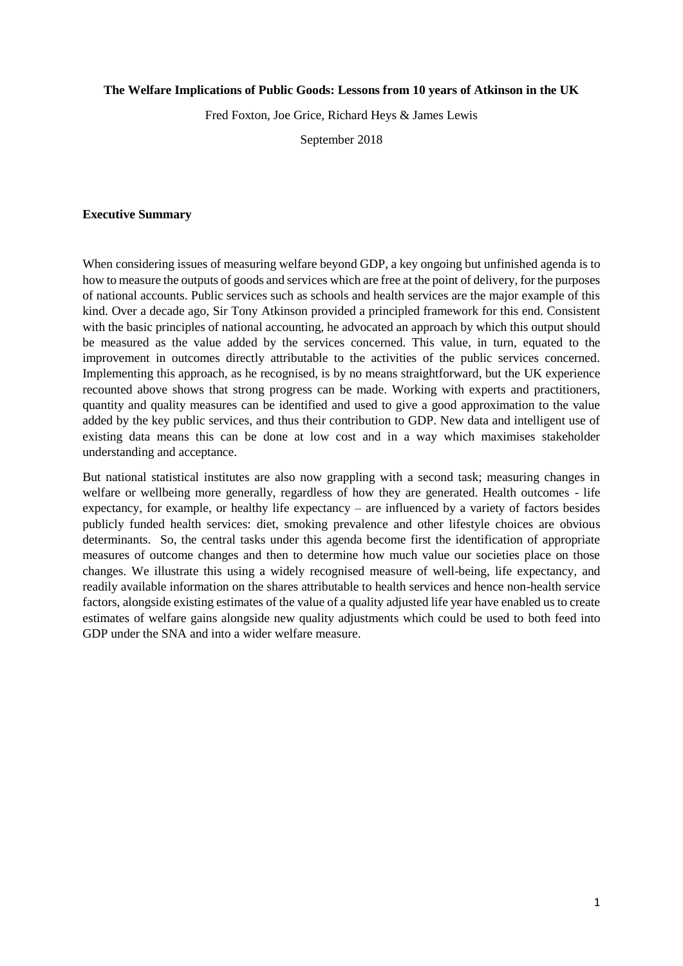#### **The Welfare Implications of Public Goods: Lessons from 10 years of Atkinson in the UK**

Fred Foxton, Joe Grice, Richard Heys & James Lewis

September 2018

#### **Executive Summary**

When considering issues of measuring welfare beyond GDP, a key ongoing but unfinished agenda is to how to measure the outputs of goods and services which are free at the point of delivery, for the purposes of national accounts. Public services such as schools and health services are the major example of this kind. Over a decade ago, Sir Tony Atkinson provided a principled framework for this end. Consistent with the basic principles of national accounting, he advocated an approach by which this output should be measured as the value added by the services concerned. This value, in turn, equated to the improvement in outcomes directly attributable to the activities of the public services concerned. Implementing this approach, as he recognised, is by no means straightforward, but the UK experience recounted above shows that strong progress can be made. Working with experts and practitioners, quantity and quality measures can be identified and used to give a good approximation to the value added by the key public services, and thus their contribution to GDP. New data and intelligent use of existing data means this can be done at low cost and in a way which maximises stakeholder understanding and acceptance.

But national statistical institutes are also now grappling with a second task; measuring changes in welfare or wellbeing more generally, regardless of how they are generated. Health outcomes - life expectancy, for example, or healthy life expectancy – are influenced by a variety of factors besides publicly funded health services: diet, smoking prevalence and other lifestyle choices are obvious determinants. So, the central tasks under this agenda become first the identification of appropriate measures of outcome changes and then to determine how much value our societies place on those changes. We illustrate this using a widely recognised measure of well-being, life expectancy, and readily available information on the shares attributable to health services and hence non-health service factors, alongside existing estimates of the value of a quality adjusted life year have enabled us to create estimates of welfare gains alongside new quality adjustments which could be used to both feed into GDP under the SNA and into a wider welfare measure.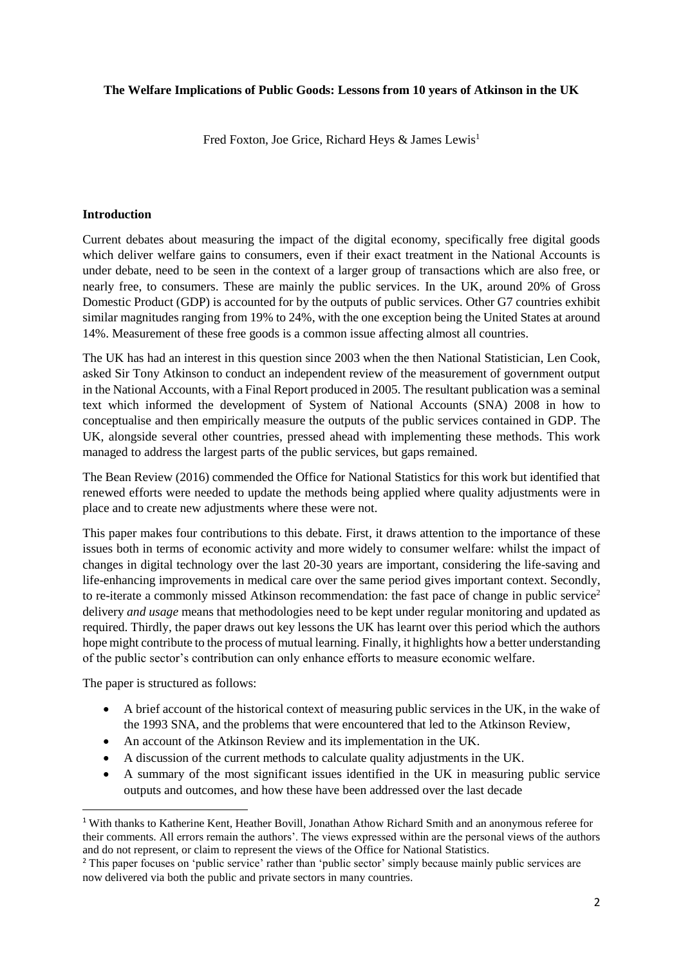#### **The Welfare Implications of Public Goods: Lessons from 10 years of Atkinson in the UK**

Fred Foxton, Joe Grice, Richard Heys & James Lewis<sup>1</sup>

#### **Introduction**

Current debates about measuring the impact of the digital economy, specifically free digital goods which deliver welfare gains to consumers, even if their exact treatment in the National Accounts is under debate, need to be seen in the context of a larger group of transactions which are also free, or nearly free, to consumers. These are mainly the public services. In the UK, around 20% of Gross Domestic Product (GDP) is accounted for by the outputs of public services. Other G7 countries exhibit similar magnitudes ranging from 19% to 24%, with the one exception being the United States at around 14%. Measurement of these free goods is a common issue affecting almost all countries.

The UK has had an interest in this question since 2003 when the then National Statistician, Len Cook, asked Sir Tony Atkinson to conduct an independent review of the measurement of government output in the National Accounts, with a Final Report produced in 2005. The resultant publication was a seminal text which informed the development of System of National Accounts (SNA) 2008 in how to conceptualise and then empirically measure the outputs of the public services contained in GDP. The UK, alongside several other countries, pressed ahead with implementing these methods. This work managed to address the largest parts of the public services, but gaps remained.

The Bean Review (2016) commended the Office for National Statistics for this work but identified that renewed efforts were needed to update the methods being applied where quality adjustments were in place and to create new adjustments where these were not.

This paper makes four contributions to this debate. First, it draws attention to the importance of these issues both in terms of economic activity and more widely to consumer welfare: whilst the impact of changes in digital technology over the last 20-30 years are important, considering the life-saving and life-enhancing improvements in medical care over the same period gives important context. Secondly, to re-iterate a commonly missed Atkinson recommendation: the fast pace of change in public service<sup>2</sup> delivery *and usage* means that methodologies need to be kept under regular monitoring and updated as required. Thirdly, the paper draws out key lessons the UK has learnt over this period which the authors hope might contribute to the process of mutual learning. Finally, it highlights how a better understanding of the public sector's contribution can only enhance efforts to measure economic welfare.

The paper is structured as follows:

 $\overline{a}$ 

- A brief account of the historical context of measuring public services in the UK, in the wake of the 1993 SNA, and the problems that were encountered that led to the Atkinson Review,
- An account of the Atkinson Review and its implementation in the UK.
- A discussion of the current methods to calculate quality adjustments in the UK.
- A summary of the most significant issues identified in the UK in measuring public service outputs and outcomes, and how these have been addressed over the last decade

<sup>1</sup> With thanks to Katherine Kent, Heather Bovill, Jonathan Athow Richard Smith and an anonymous referee for their comments. All errors remain the authors'. The views expressed within are the personal views of the authors and do not represent, or claim to represent the views of the Office for National Statistics.

<sup>&</sup>lt;sup>2</sup> This paper focuses on 'public service' rather than 'public sector' simply because mainly public services are now delivered via both the public and private sectors in many countries.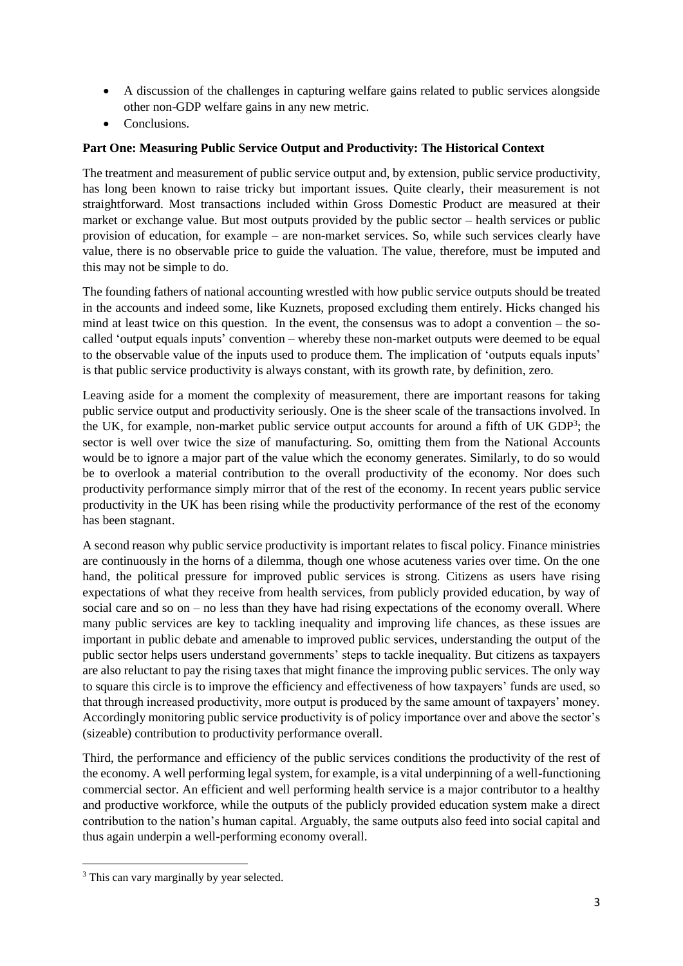- A discussion of the challenges in capturing welfare gains related to public services alongside other non-GDP welfare gains in any new metric.
- Conclusions

# **Part One: Measuring Public Service Output and Productivity: The Historical Context**

The treatment and measurement of public service output and, by extension, public service productivity, has long been known to raise tricky but important issues. Quite clearly, their measurement is not straightforward. Most transactions included within Gross Domestic Product are measured at their market or exchange value. But most outputs provided by the public sector – health services or public provision of education, for example – are non-market services. So, while such services clearly have value, there is no observable price to guide the valuation. The value, therefore, must be imputed and this may not be simple to do.

The founding fathers of national accounting wrestled with how public service outputs should be treated in the accounts and indeed some, like Kuznets, proposed excluding them entirely. Hicks changed his mind at least twice on this question. In the event, the consensus was to adopt a convention – the socalled 'output equals inputs' convention – whereby these non-market outputs were deemed to be equal to the observable value of the inputs used to produce them. The implication of 'outputs equals inputs' is that public service productivity is always constant, with its growth rate, by definition, zero.

Leaving aside for a moment the complexity of measurement, there are important reasons for taking public service output and productivity seriously. One is the sheer scale of the transactions involved. In the UK, for example, non-market public service output accounts for around a fifth of UK GDP<sup>3</sup>; the sector is well over twice the size of manufacturing. So, omitting them from the National Accounts would be to ignore a major part of the value which the economy generates. Similarly, to do so would be to overlook a material contribution to the overall productivity of the economy. Nor does such productivity performance simply mirror that of the rest of the economy. In recent years public service productivity in the UK has been rising while the productivity performance of the rest of the economy has been stagnant.

A second reason why public service productivity is important relates to fiscal policy. Finance ministries are continuously in the horns of a dilemma, though one whose acuteness varies over time. On the one hand, the political pressure for improved public services is strong. Citizens as users have rising expectations of what they receive from health services, from publicly provided education, by way of social care and so on – no less than they have had rising expectations of the economy overall. Where many public services are key to tackling inequality and improving life chances, as these issues are important in public debate and amenable to improved public services, understanding the output of the public sector helps users understand governments' steps to tackle inequality. But citizens as taxpayers are also reluctant to pay the rising taxes that might finance the improving public services. The only way to square this circle is to improve the efficiency and effectiveness of how taxpayers' funds are used, so that through increased productivity, more output is produced by the same amount of taxpayers' money. Accordingly monitoring public service productivity is of policy importance over and above the sector's (sizeable) contribution to productivity performance overall.

Third, the performance and efficiency of the public services conditions the productivity of the rest of the economy. A well performing legal system, for example, is a vital underpinning of a well-functioning commercial sector. An efficient and well performing health service is a major contributor to a healthy and productive workforce, while the outputs of the publicly provided education system make a direct contribution to the nation's human capital. Arguably, the same outputs also feed into social capital and thus again underpin a well-performing economy overall.

**.** 

<sup>&</sup>lt;sup>3</sup> This can vary marginally by year selected.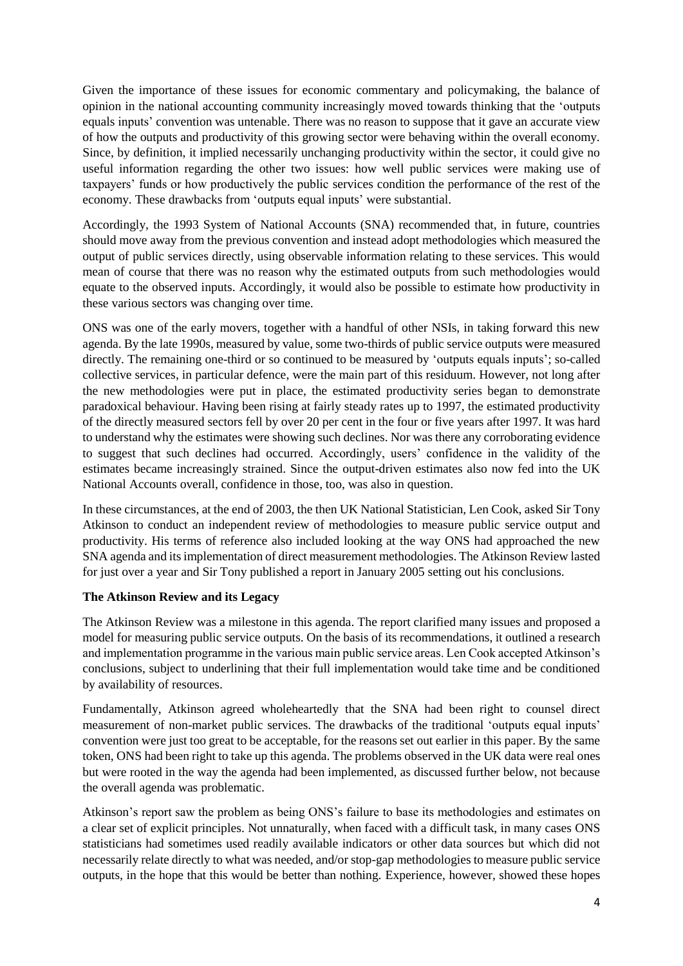Given the importance of these issues for economic commentary and policymaking, the balance of opinion in the national accounting community increasingly moved towards thinking that the 'outputs equals inputs' convention was untenable. There was no reason to suppose that it gave an accurate view of how the outputs and productivity of this growing sector were behaving within the overall economy. Since, by definition, it implied necessarily unchanging productivity within the sector, it could give no useful information regarding the other two issues: how well public services were making use of taxpayers' funds or how productively the public services condition the performance of the rest of the economy. These drawbacks from 'outputs equal inputs' were substantial.

Accordingly, the 1993 System of National Accounts (SNA) recommended that, in future, countries should move away from the previous convention and instead adopt methodologies which measured the output of public services directly, using observable information relating to these services. This would mean of course that there was no reason why the estimated outputs from such methodologies would equate to the observed inputs. Accordingly, it would also be possible to estimate how productivity in these various sectors was changing over time.

ONS was one of the early movers, together with a handful of other NSIs, in taking forward this new agenda. By the late 1990s, measured by value, some two-thirds of public service outputs were measured directly. The remaining one-third or so continued to be measured by 'outputs equals inputs'; so-called collective services, in particular defence, were the main part of this residuum. However, not long after the new methodologies were put in place, the estimated productivity series began to demonstrate paradoxical behaviour. Having been rising at fairly steady rates up to 1997, the estimated productivity of the directly measured sectors fell by over 20 per cent in the four or five years after 1997. It was hard to understand why the estimates were showing such declines. Nor was there any corroborating evidence to suggest that such declines had occurred. Accordingly, users' confidence in the validity of the estimates became increasingly strained. Since the output-driven estimates also now fed into the UK National Accounts overall, confidence in those, too, was also in question.

In these circumstances, at the end of 2003, the then UK National Statistician, Len Cook, asked Sir Tony Atkinson to conduct an independent review of methodologies to measure public service output and productivity. His terms of reference also included looking at the way ONS had approached the new SNA agenda and its implementation of direct measurement methodologies. The Atkinson Review lasted for just over a year and Sir Tony published a report in January 2005 setting out his conclusions.

# **The Atkinson Review and its Legacy**

The Atkinson Review was a milestone in this agenda. The report clarified many issues and proposed a model for measuring public service outputs. On the basis of its recommendations, it outlined a research and implementation programme in the various main public service areas. Len Cook accepted Atkinson's conclusions, subject to underlining that their full implementation would take time and be conditioned by availability of resources.

Fundamentally, Atkinson agreed wholeheartedly that the SNA had been right to counsel direct measurement of non-market public services. The drawbacks of the traditional 'outputs equal inputs' convention were just too great to be acceptable, for the reasons set out earlier in this paper. By the same token, ONS had been right to take up this agenda. The problems observed in the UK data were real ones but were rooted in the way the agenda had been implemented, as discussed further below, not because the overall agenda was problematic.

Atkinson's report saw the problem as being ONS's failure to base its methodologies and estimates on a clear set of explicit principles. Not unnaturally, when faced with a difficult task, in many cases ONS statisticians had sometimes used readily available indicators or other data sources but which did not necessarily relate directly to what was needed, and/or stop-gap methodologies to measure public service outputs, in the hope that this would be better than nothing. Experience, however, showed these hopes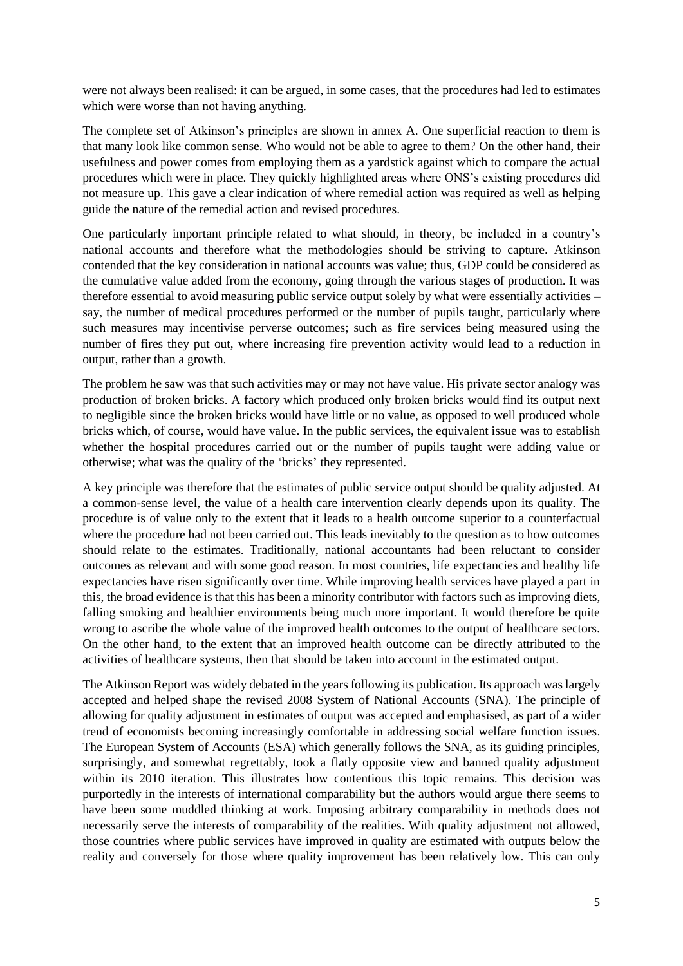were not always been realised: it can be argued, in some cases, that the procedures had led to estimates which were worse than not having anything.

The complete set of Atkinson's principles are shown in annex A. One superficial reaction to them is that many look like common sense. Who would not be able to agree to them? On the other hand, their usefulness and power comes from employing them as a yardstick against which to compare the actual procedures which were in place. They quickly highlighted areas where ONS's existing procedures did not measure up. This gave a clear indication of where remedial action was required as well as helping guide the nature of the remedial action and revised procedures.

One particularly important principle related to what should, in theory, be included in a country's national accounts and therefore what the methodologies should be striving to capture. Atkinson contended that the key consideration in national accounts was value; thus, GDP could be considered as the cumulative value added from the economy, going through the various stages of production. It was therefore essential to avoid measuring public service output solely by what were essentially activities – say, the number of medical procedures performed or the number of pupils taught, particularly where such measures may incentivise perverse outcomes; such as fire services being measured using the number of fires they put out, where increasing fire prevention activity would lead to a reduction in output, rather than a growth.

The problem he saw was that such activities may or may not have value. His private sector analogy was production of broken bricks. A factory which produced only broken bricks would find its output next to negligible since the broken bricks would have little or no value, as opposed to well produced whole bricks which, of course, would have value. In the public services, the equivalent issue was to establish whether the hospital procedures carried out or the number of pupils taught were adding value or otherwise; what was the quality of the 'bricks' they represented.

A key principle was therefore that the estimates of public service output should be quality adjusted. At a common-sense level, the value of a health care intervention clearly depends upon its quality. The procedure is of value only to the extent that it leads to a health outcome superior to a counterfactual where the procedure had not been carried out. This leads inevitably to the question as to how outcomes should relate to the estimates. Traditionally, national accountants had been reluctant to consider outcomes as relevant and with some good reason. In most countries, life expectancies and healthy life expectancies have risen significantly over time. While improving health services have played a part in this, the broad evidence is that this has been a minority contributor with factors such as improving diets, falling smoking and healthier environments being much more important. It would therefore be quite wrong to ascribe the whole value of the improved health outcomes to the output of healthcare sectors. On the other hand, to the extent that an improved health outcome can be directly attributed to the activities of healthcare systems, then that should be taken into account in the estimated output.

The Atkinson Report was widely debated in the years following its publication. Its approach was largely accepted and helped shape the revised 2008 System of National Accounts (SNA). The principle of allowing for quality adjustment in estimates of output was accepted and emphasised, as part of a wider trend of economists becoming increasingly comfortable in addressing social welfare function issues. The European System of Accounts (ESA) which generally follows the SNA, as its guiding principles, surprisingly, and somewhat regrettably, took a flatly opposite view and banned quality adjustment within its 2010 iteration. This illustrates how contentious this topic remains. This decision was purportedly in the interests of international comparability but the authors would argue there seems to have been some muddled thinking at work. Imposing arbitrary comparability in methods does not necessarily serve the interests of comparability of the realities. With quality adjustment not allowed, those countries where public services have improved in quality are estimated with outputs below the reality and conversely for those where quality improvement has been relatively low. This can only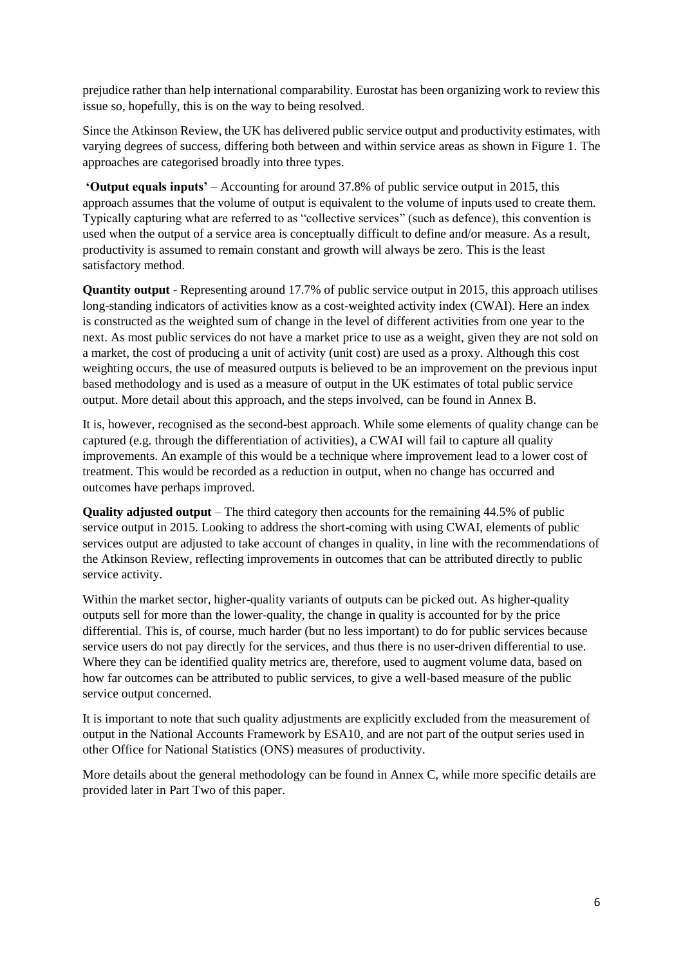prejudice rather than help international comparability. Eurostat has been organizing work to review this issue so, hopefully, this is on the way to being resolved.

Since the Atkinson Review, the UK has delivered public service output and productivity estimates, with varying degrees of success, differing both between and within service areas as shown in Figure 1. The approaches are categorised broadly into three types.

**'Output equals inputs'** – Accounting for around 37.8% of public service output in 2015, this approach assumes that the volume of output is equivalent to the volume of inputs used to create them. Typically capturing what are referred to as "collective services" (such as defence), this convention is used when the output of a service area is conceptually difficult to define and/or measure. As a result, productivity is assumed to remain constant and growth will always be zero. This is the least satisfactory method.

**Quantity output** - Representing around 17.7% of public service output in 2015, this approach utilises long-standing indicators of activities know as a cost-weighted activity index (CWAI). Here an index is constructed as the weighted sum of change in the level of different activities from one year to the next. As most public services do not have a market price to use as a weight, given they are not sold on a market, the cost of producing a unit of activity (unit cost) are used as a proxy. Although this cost weighting occurs, the use of measured outputs is believed to be an improvement on the previous input based methodology and is used as a measure of output in the UK estimates of total public service output. More detail about this approach, and the steps involved, can be found in Annex B.

It is, however, recognised as the second-best approach. While some elements of quality change can be captured (e.g. through the differentiation of activities), a CWAI will fail to capture all quality improvements. An example of this would be a technique where improvement lead to a lower cost of treatment. This would be recorded as a reduction in output, when no change has occurred and outcomes have perhaps improved.

**Quality adjusted output** – The third category then accounts for the remaining 44.5% of public service output in 2015. Looking to address the short-coming with using CWAI, elements of public services output are adjusted to take account of changes in quality, in line with the recommendations of the Atkinson Review, reflecting improvements in outcomes that can be attributed directly to public service activity.

Within the market sector, higher-quality variants of outputs can be picked out. As higher-quality outputs sell for more than the lower-quality, the change in quality is accounted for by the price differential. This is, of course, much harder (but no less important) to do for public services because service users do not pay directly for the services, and thus there is no user-driven differential to use. Where they can be identified quality metrics are, therefore, used to augment volume data, based on how far outcomes can be attributed to public services, to give a well-based measure of the public service output concerned.

It is important to note that such quality adjustments are explicitly excluded from the measurement of output in the National Accounts Framework by ESA10, and are not part of the output series used in other Office for National Statistics (ONS) measures of productivity.

More details about the general methodology can be found in Annex C, while more specific details are provided later in Part Two of this paper.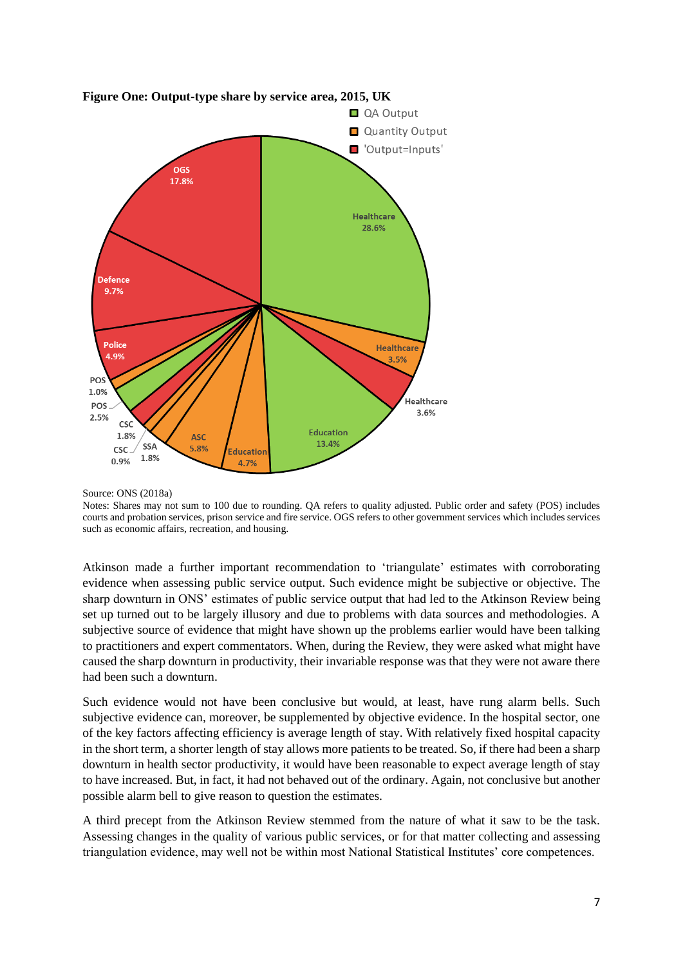

**Figure One: Output-type share by service area, 2015, UK**

Source: ONS (2018a)

Notes: Shares may not sum to 100 due to rounding. QA refers to quality adjusted. Public order and safety (POS) includes courts and probation services, prison service and fire service. OGS refers to other government services which includes services such as economic affairs, recreation, and housing.

Atkinson made a further important recommendation to 'triangulate' estimates with corroborating evidence when assessing public service output. Such evidence might be subjective or objective. The sharp downturn in ONS' estimates of public service output that had led to the Atkinson Review being set up turned out to be largely illusory and due to problems with data sources and methodologies. A subjective source of evidence that might have shown up the problems earlier would have been talking to practitioners and expert commentators. When, during the Review, they were asked what might have caused the sharp downturn in productivity, their invariable response was that they were not aware there had been such a downturn.

Such evidence would not have been conclusive but would, at least, have rung alarm bells. Such subjective evidence can, moreover, be supplemented by objective evidence. In the hospital sector, one of the key factors affecting efficiency is average length of stay. With relatively fixed hospital capacity in the short term, a shorter length of stay allows more patients to be treated. So, if there had been a sharp downturn in health sector productivity, it would have been reasonable to expect average length of stay to have increased. But, in fact, it had not behaved out of the ordinary. Again, not conclusive but another possible alarm bell to give reason to question the estimates.

A third precept from the Atkinson Review stemmed from the nature of what it saw to be the task. Assessing changes in the quality of various public services, or for that matter collecting and assessing triangulation evidence, may well not be within most National Statistical Institutes' core competences.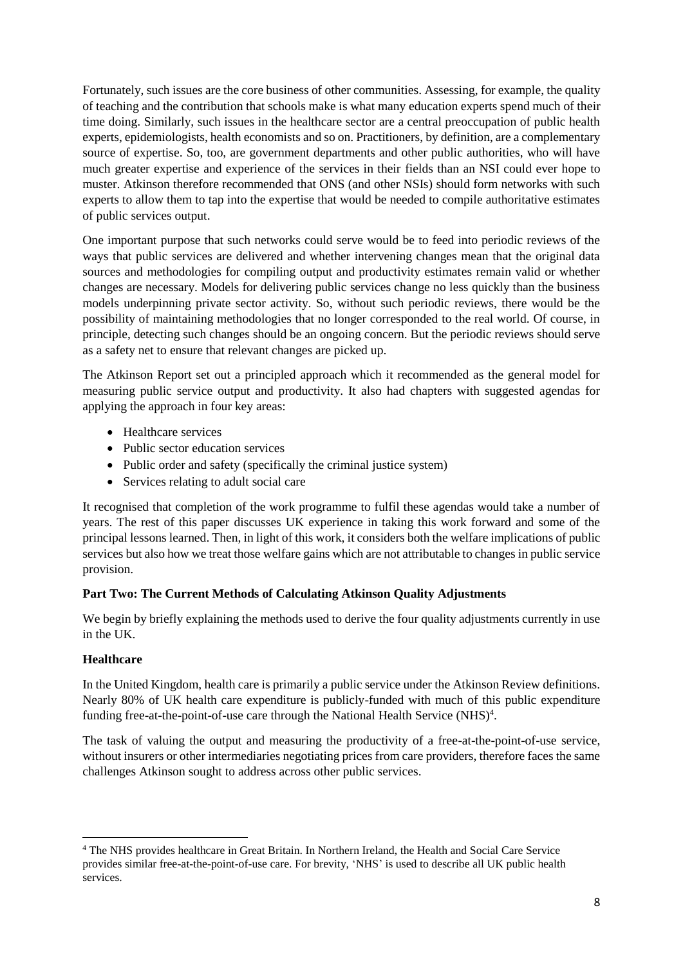Fortunately, such issues are the core business of other communities. Assessing, for example, the quality of teaching and the contribution that schools make is what many education experts spend much of their time doing. Similarly, such issues in the healthcare sector are a central preoccupation of public health experts, epidemiologists, health economists and so on. Practitioners, by definition, are a complementary source of expertise. So, too, are government departments and other public authorities, who will have much greater expertise and experience of the services in their fields than an NSI could ever hope to muster. Atkinson therefore recommended that ONS (and other NSIs) should form networks with such experts to allow them to tap into the expertise that would be needed to compile authoritative estimates of public services output.

One important purpose that such networks could serve would be to feed into periodic reviews of the ways that public services are delivered and whether intervening changes mean that the original data sources and methodologies for compiling output and productivity estimates remain valid or whether changes are necessary. Models for delivering public services change no less quickly than the business models underpinning private sector activity. So, without such periodic reviews, there would be the possibility of maintaining methodologies that no longer corresponded to the real world. Of course, in principle, detecting such changes should be an ongoing concern. But the periodic reviews should serve as a safety net to ensure that relevant changes are picked up.

The Atkinson Report set out a principled approach which it recommended as the general model for measuring public service output and productivity. It also had chapters with suggested agendas for applying the approach in four key areas:

- Healthcare services
- Public sector education services
- Public order and safety (specifically the criminal justice system)
- Services relating to adult social care

It recognised that completion of the work programme to fulfil these agendas would take a number of years. The rest of this paper discusses UK experience in taking this work forward and some of the principal lessons learned. Then, in light of this work, it considers both the welfare implications of public services but also how we treat those welfare gains which are not attributable to changes in public service provision.

# **Part Two: The Current Methods of Calculating Atkinson Quality Adjustments**

We begin by briefly explaining the methods used to derive the four quality adjustments currently in use in the UK.

# **Healthcare**

 $\overline{a}$ 

In the United Kingdom, health care is primarily a public service under the Atkinson Review definitions. Nearly 80% of UK health care expenditure is publicly-funded with much of this public expenditure funding free-at-the-point-of-use care through the National Health Service (NHS)<sup>4</sup>.

The task of valuing the output and measuring the productivity of a free-at-the-point-of-use service, without insurers or other intermediaries negotiating prices from care providers, therefore faces the same challenges Atkinson sought to address across other public services.

<sup>4</sup> The NHS provides healthcare in Great Britain. In Northern Ireland, the Health and Social Care Service provides similar free-at-the-point-of-use care. For brevity, 'NHS' is used to describe all UK public health services.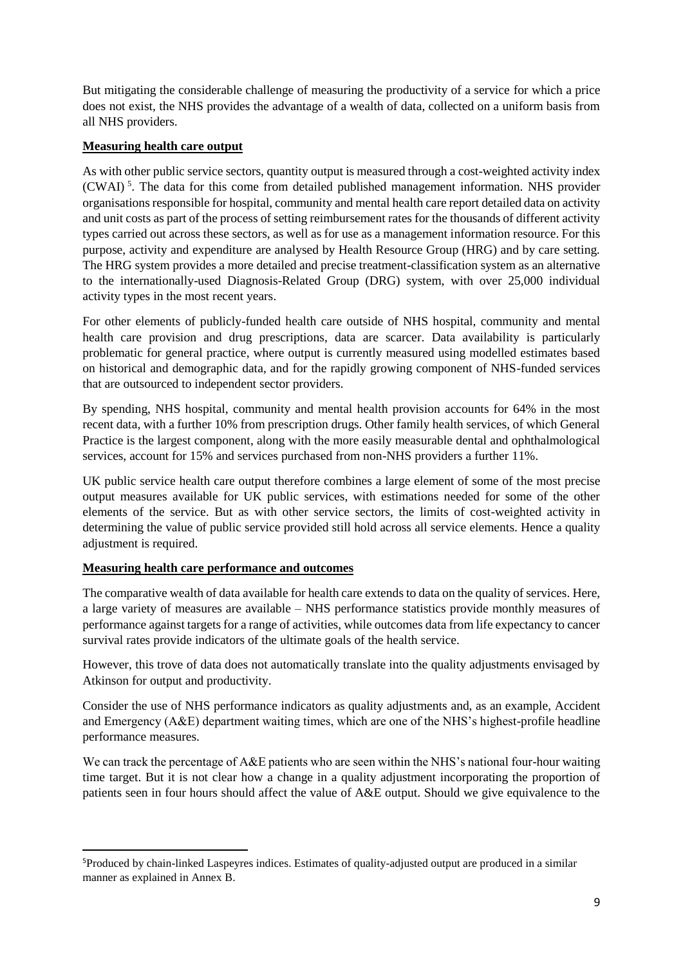But mitigating the considerable challenge of measuring the productivity of a service for which a price does not exist, the NHS provides the advantage of a wealth of data, collected on a uniform basis from all NHS providers.

# **Measuring health care output**

As with other public service sectors, quantity output is measured through a cost-weighted activity index (CWAI)<sup>5</sup>. The data for this come from detailed published management information. NHS provider organisations responsible for hospital, community and mental health care report detailed data on activity and unit costs as part of the process of setting reimbursement rates for the thousands of different activity types carried out across these sectors, as well as for use as a management information resource. For this purpose, activity and expenditure are analysed by Health Resource Group (HRG) and by care setting. The HRG system provides a more detailed and precise treatment-classification system as an alternative to the internationally-used Diagnosis-Related Group (DRG) system, with over 25,000 individual activity types in the most recent years.

For other elements of publicly-funded health care outside of NHS hospital, community and mental health care provision and drug prescriptions, data are scarcer. Data availability is particularly problematic for general practice, where output is currently measured using modelled estimates based on historical and demographic data, and for the rapidly growing component of NHS-funded services that are outsourced to independent sector providers.

By spending, NHS hospital, community and mental health provision accounts for 64% in the most recent data, with a further 10% from prescription drugs. Other family health services, of which General Practice is the largest component, along with the more easily measurable dental and ophthalmological services, account for 15% and services purchased from non-NHS providers a further 11%.

UK public service health care output therefore combines a large element of some of the most precise output measures available for UK public services, with estimations needed for some of the other elements of the service. But as with other service sectors, the limits of cost-weighted activity in determining the value of public service provided still hold across all service elements. Hence a quality adjustment is required.

# **Measuring health care performance and outcomes**

1

The comparative wealth of data available for health care extends to data on the quality of services. Here, a large variety of measures are available – NHS performance statistics provide monthly measures of performance against targets for a range of activities, while outcomes data from life expectancy to cancer survival rates provide indicators of the ultimate goals of the health service.

However, this trove of data does not automatically translate into the quality adjustments envisaged by Atkinson for output and productivity.

Consider the use of NHS performance indicators as quality adjustments and, as an example, Accident and Emergency (A&E) department waiting times, which are one of the NHS's highest-profile headline performance measures.

We can track the percentage of A&E patients who are seen within the NHS's national four-hour waiting time target. But it is not clear how a change in a quality adjustment incorporating the proportion of patients seen in four hours should affect the value of A&E output. Should we give equivalence to the

<sup>5</sup>Produced by chain-linked Laspeyres indices. Estimates of quality-adjusted output are produced in a similar manner as explained in Annex B.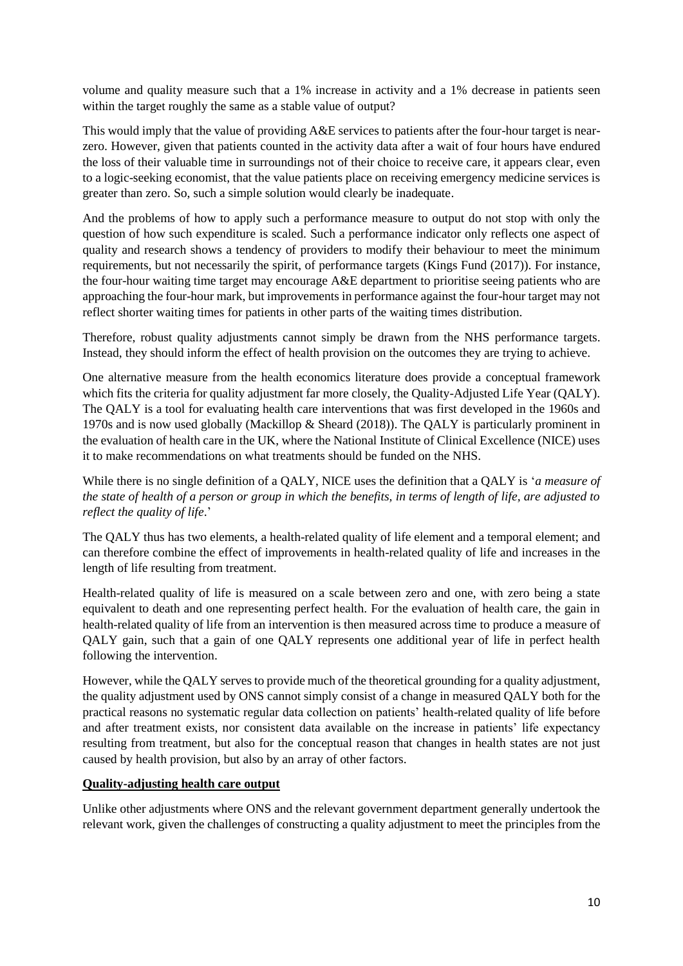volume and quality measure such that a 1% increase in activity and a 1% decrease in patients seen within the target roughly the same as a stable value of output?

This would imply that the value of providing A&E services to patients after the four-hour target is nearzero. However, given that patients counted in the activity data after a wait of four hours have endured the loss of their valuable time in surroundings not of their choice to receive care, it appears clear, even to a logic-seeking economist, that the value patients place on receiving emergency medicine services is greater than zero. So, such a simple solution would clearly be inadequate.

And the problems of how to apply such a performance measure to output do not stop with only the question of how such expenditure is scaled. Such a performance indicator only reflects one aspect of quality and research shows a tendency of providers to modify their behaviour to meet the minimum requirements, but not necessarily the spirit, of performance targets (Kings Fund (2017)). For instance, the four-hour waiting time target may encourage A&E department to prioritise seeing patients who are approaching the four-hour mark, but improvements in performance against the four-hour target may not reflect shorter waiting times for patients in other parts of the waiting times distribution.

Therefore, robust quality adjustments cannot simply be drawn from the NHS performance targets. Instead, they should inform the effect of health provision on the outcomes they are trying to achieve.

One alternative measure from the health economics literature does provide a conceptual framework which fits the criteria for quality adjustment far more closely, the Quality-Adjusted Life Year (QALY). The QALY is a tool for evaluating health care interventions that was first developed in the 1960s and 1970s and is now used globally (Mackillop & Sheard (2018)). The QALY is particularly prominent in the evaluation of health care in the UK, where the National Institute of Clinical Excellence (NICE) uses it to make recommendations on what treatments should be funded on the NHS.

While there is no single definition of a QALY, NICE uses the definition that a QALY is '*a measure of the state of health of a person or group in which the benefits, in terms of length of life, are adjusted to reflect the quality of life*.'

The QALY thus has two elements, a health-related quality of life element and a temporal element; and can therefore combine the effect of improvements in health-related quality of life and increases in the length of life resulting from treatment.

Health-related quality of life is measured on a scale between zero and one, with zero being a state equivalent to death and one representing perfect health. For the evaluation of health care, the gain in health-related quality of life from an intervention is then measured across time to produce a measure of QALY gain, such that a gain of one QALY represents one additional year of life in perfect health following the intervention.

However, while the QALY serves to provide much of the theoretical grounding for a quality adjustment, the quality adjustment used by ONS cannot simply consist of a change in measured QALY both for the practical reasons no systematic regular data collection on patients' health-related quality of life before and after treatment exists, nor consistent data available on the increase in patients' life expectancy resulting from treatment, but also for the conceptual reason that changes in health states are not just caused by health provision, but also by an array of other factors.

#### **Quality-adjusting health care output**

Unlike other adjustments where ONS and the relevant government department generally undertook the relevant work, given the challenges of constructing a quality adjustment to meet the principles from the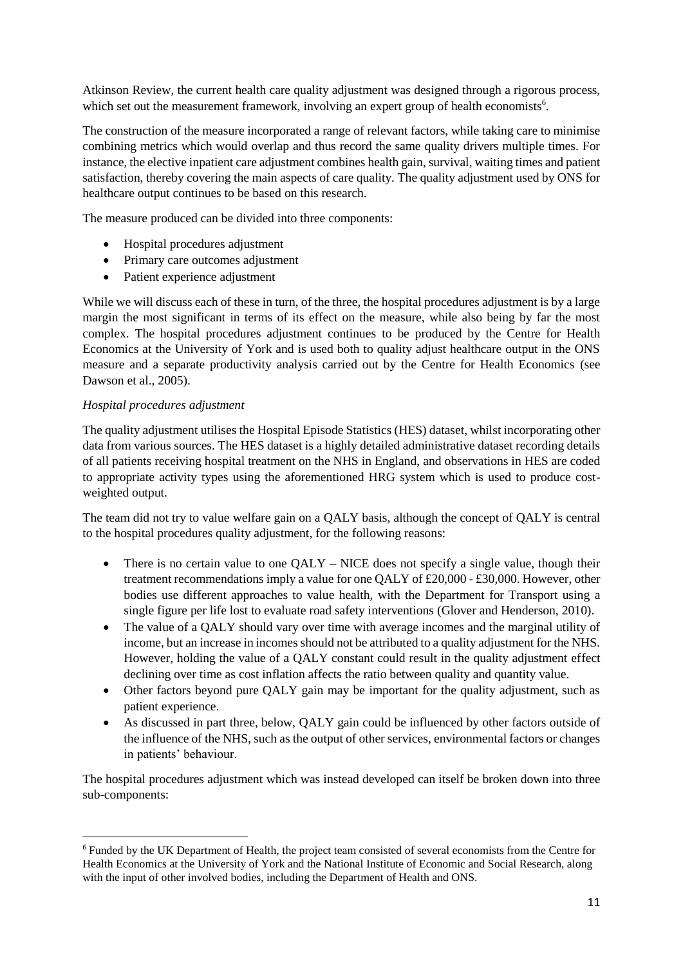Atkinson Review, the current health care quality adjustment was designed through a rigorous process, which set out the measurement framework, involving an expert group of health economists<sup>6</sup>.

The construction of the measure incorporated a range of relevant factors, while taking care to minimise combining metrics which would overlap and thus record the same quality drivers multiple times. For instance, the elective inpatient care adjustment combines health gain, survival, waiting times and patient satisfaction, thereby covering the main aspects of care quality. The quality adjustment used by ONS for healthcare output continues to be based on this research.

The measure produced can be divided into three components:

- Hospital procedures adjustment
- Primary care outcomes adjustment
- Patient experience adjustment

While we will discuss each of these in turn, of the three, the hospital procedures adjustment is by a large margin the most significant in terms of its effect on the measure, while also being by far the most complex. The hospital procedures adjustment continues to be produced by the Centre for Health Economics at the University of York and is used both to quality adjust healthcare output in the ONS measure and a separate productivity analysis carried out by the Centre for Health Economics (see Dawson et al., 2005).

# *Hospital procedures adjustment*

**.** 

The quality adjustment utilises the Hospital Episode Statistics (HES) dataset, whilst incorporating other data from various sources. The HES dataset is a highly detailed administrative dataset recording details of all patients receiving hospital treatment on the NHS in England, and observations in HES are coded to appropriate activity types using the aforementioned HRG system which is used to produce costweighted output.

The team did not try to value welfare gain on a QALY basis, although the concept of QALY is central to the hospital procedures quality adjustment, for the following reasons:

- There is no certain value to one  $OALY NICE$  does not specify a single value, though their treatment recommendations imply a value for one QALY of £20,000 - £30,000. However, other bodies use different approaches to value health, with the Department for Transport using a single figure per life lost to evaluate road safety interventions (Glover and Henderson, 2010).
- The value of a OALY should vary over time with average incomes and the marginal utility of income, but an increase in incomes should not be attributed to a quality adjustment for the NHS. However, holding the value of a QALY constant could result in the quality adjustment effect declining over time as cost inflation affects the ratio between quality and quantity value.
- Other factors beyond pure QALY gain may be important for the quality adjustment, such as patient experience.
- As discussed in part three, below, QALY gain could be influenced by other factors outside of the influence of the NHS, such as the output of other services, environmental factors or changes in patients' behaviour.

The hospital procedures adjustment which was instead developed can itself be broken down into three sub-components:

<sup>6</sup> Funded by the UK Department of Health, the project team consisted of several economists from the Centre for Health Economics at the University of York and the National Institute of Economic and Social Research, along with the input of other involved bodies, including the Department of Health and ONS.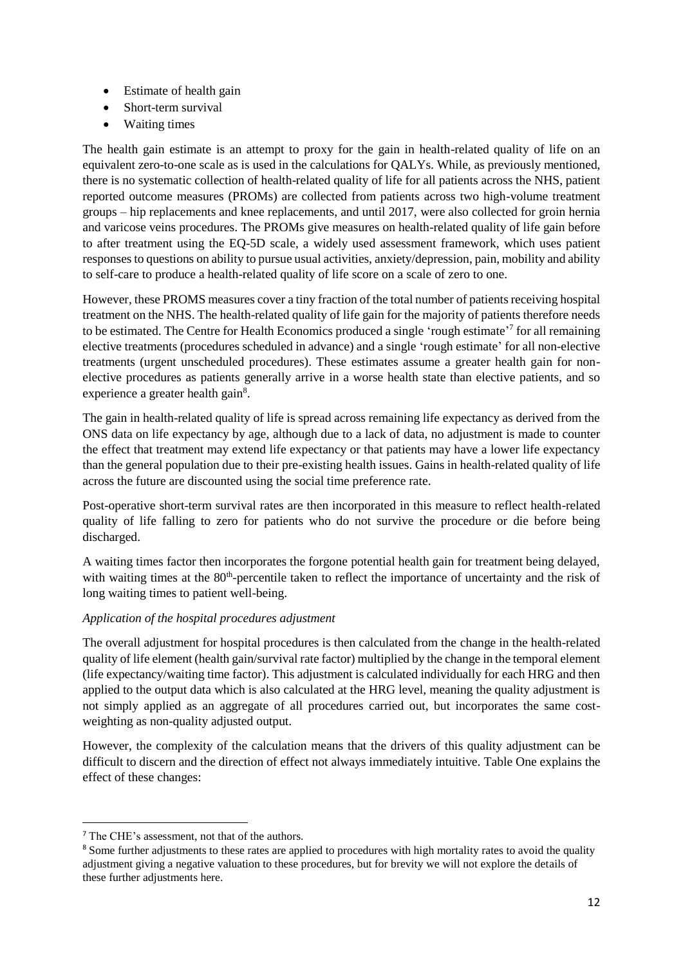- Estimate of health gain
- Short-term survival
- Waiting times

The health gain estimate is an attempt to proxy for the gain in health-related quality of life on an equivalent zero-to-one scale as is used in the calculations for QALYs. While, as previously mentioned, there is no systematic collection of health-related quality of life for all patients across the NHS, patient reported outcome measures (PROMs) are collected from patients across two high-volume treatment groups – hip replacements and knee replacements, and until 2017, were also collected for groin hernia and varicose veins procedures. The PROMs give measures on health-related quality of life gain before to after treatment using the EQ-5D scale, a widely used assessment framework, which uses patient responses to questions on ability to pursue usual activities, anxiety/depression, pain, mobility and ability to self-care to produce a health-related quality of life score on a scale of zero to one.

However, these PROMS measures cover a tiny fraction of the total number of patients receiving hospital treatment on the NHS. The health-related quality of life gain for the majority of patients therefore needs to be estimated. The Centre for Health Economics produced a single 'rough estimate'<sup>7</sup> for all remaining elective treatments (procedures scheduled in advance) and a single 'rough estimate' for all non-elective treatments (urgent unscheduled procedures). These estimates assume a greater health gain for nonelective procedures as patients generally arrive in a worse health state than elective patients, and so experience a greater health gain<sup>8</sup>.

The gain in health-related quality of life is spread across remaining life expectancy as derived from the ONS data on life expectancy by age, although due to a lack of data, no adjustment is made to counter the effect that treatment may extend life expectancy or that patients may have a lower life expectancy than the general population due to their pre-existing health issues. Gains in health-related quality of life across the future are discounted using the social time preference rate.

Post-operative short-term survival rates are then incorporated in this measure to reflect health-related quality of life falling to zero for patients who do not survive the procedure or die before being discharged.

A waiting times factor then incorporates the forgone potential health gain for treatment being delayed, with waiting times at the 80<sup>th</sup>-percentile taken to reflect the importance of uncertainty and the risk of long waiting times to patient well-being.

# *Application of the hospital procedures adjustment*

The overall adjustment for hospital procedures is then calculated from the change in the health-related quality of life element (health gain/survival rate factor) multiplied by the change in the temporal element (life expectancy/waiting time factor). This adjustment is calculated individually for each HRG and then applied to the output data which is also calculated at the HRG level, meaning the quality adjustment is not simply applied as an aggregate of all procedures carried out, but incorporates the same costweighting as non-quality adjusted output.

However, the complexity of the calculation means that the drivers of this quality adjustment can be difficult to discern and the direction of effect not always immediately intuitive. Table One explains the effect of these changes:

1

<sup>7</sup> The CHE's assessment, not that of the authors.

<sup>&</sup>lt;sup>8</sup> Some further adjustments to these rates are applied to procedures with high mortality rates to avoid the quality adjustment giving a negative valuation to these procedures, but for brevity we will not explore the details of these further adjustments here.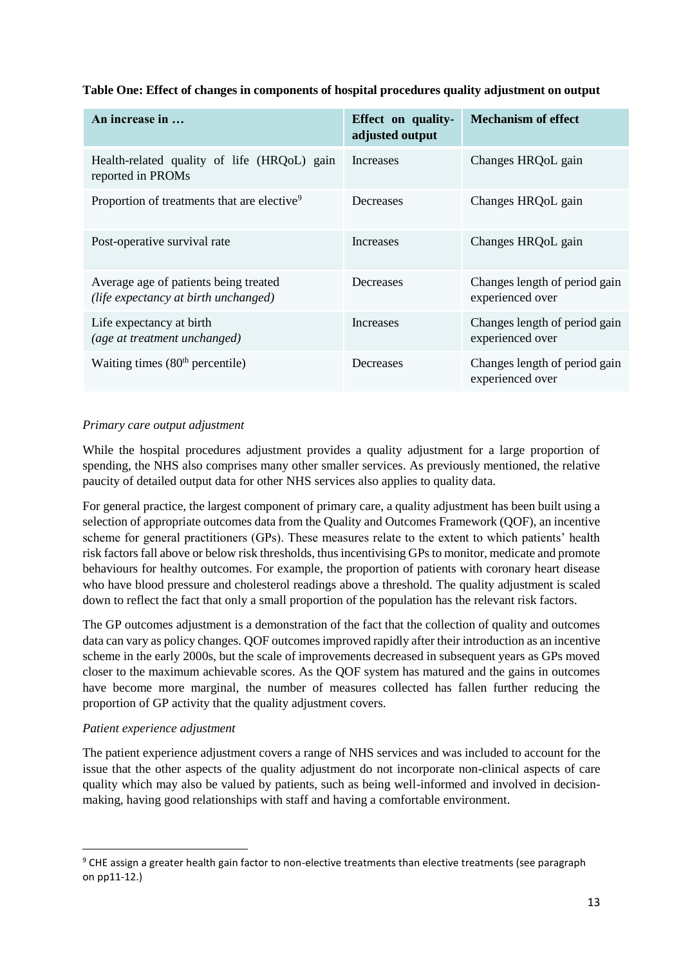#### **Table One: Effect of changes in components of hospital procedures quality adjustment on output**

| An increase in                                                                | Effect on quality-<br>adjusted output | <b>Mechanism of effect</b>                        |
|-------------------------------------------------------------------------------|---------------------------------------|---------------------------------------------------|
| Health-related quality of life (HRQoL) gain<br>reported in PROMs              | Increases                             | Changes HRQoL gain                                |
| Proportion of treatments that are elective <sup>9</sup>                       | Decreases                             | Changes HRQoL gain                                |
| Post-operative survival rate                                                  | Increases                             | Changes HRQoL gain                                |
| Average age of patients being treated<br>(life expectancy at birth unchanged) | Decreases                             | Changes length of period gain<br>experienced over |
| Life expectancy at birth<br>(age at treatment unchanged)                      | Increases                             | Changes length of period gain<br>experienced over |
| Waiting times $(80th$ percentile)                                             | Decreases                             | Changes length of period gain<br>experienced over |

# *Primary care output adjustment*

While the hospital procedures adjustment provides a quality adjustment for a large proportion of spending, the NHS also comprises many other smaller services. As previously mentioned, the relative paucity of detailed output data for other NHS services also applies to quality data.

For general practice, the largest component of primary care, a quality adjustment has been built using a selection of appropriate outcomes data from the Quality and Outcomes Framework (QOF), an incentive scheme for general practitioners (GPs). These measures relate to the extent to which patients' health risk factors fall above or below risk thresholds, thus incentivising GPs to monitor, medicate and promote behaviours for healthy outcomes. For example, the proportion of patients with coronary heart disease who have blood pressure and cholesterol readings above a threshold. The quality adjustment is scaled down to reflect the fact that only a small proportion of the population has the relevant risk factors.

The GP outcomes adjustment is a demonstration of the fact that the collection of quality and outcomes data can vary as policy changes. QOF outcomes improved rapidly after their introduction as an incentive scheme in the early 2000s, but the scale of improvements decreased in subsequent years as GPs moved closer to the maximum achievable scores. As the QOF system has matured and the gains in outcomes have become more marginal, the number of measures collected has fallen further reducing the proportion of GP activity that the quality adjustment covers.

#### *Patient experience adjustment*

1

The patient experience adjustment covers a range of NHS services and was included to account for the issue that the other aspects of the quality adjustment do not incorporate non-clinical aspects of care quality which may also be valued by patients, such as being well-informed and involved in decisionmaking, having good relationships with staff and having a comfortable environment.

<sup>9</sup> CHE assign a greater health gain factor to non-elective treatments than elective treatments (see paragraph on pp11-12.)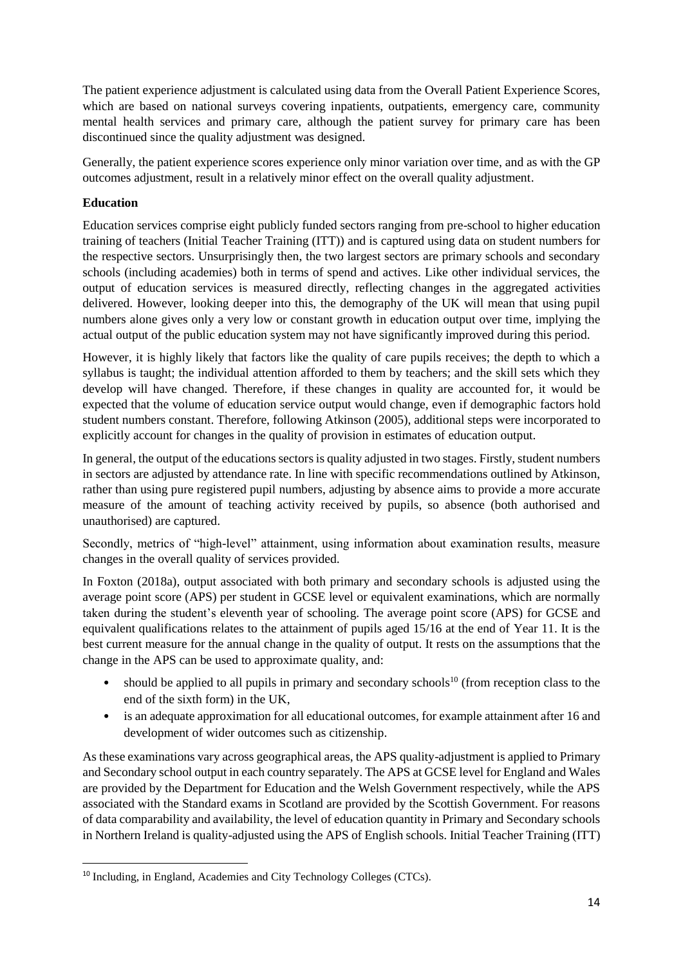The patient experience adjustment is calculated using data from the Overall Patient Experience Scores, which are based on national surveys covering inpatients, outpatients, emergency care, community mental health services and primary care, although the patient survey for primary care has been discontinued since the quality adjustment was designed.

Generally, the patient experience scores experience only minor variation over time, and as with the GP outcomes adjustment, result in a relatively minor effect on the overall quality adjustment.

# **Education**

**.** 

Education services comprise eight publicly funded sectors ranging from pre-school to higher education training of teachers (Initial Teacher Training (ITT)) and is captured using data on student numbers for the respective sectors. Unsurprisingly then, the two largest sectors are primary schools and secondary schools (including academies) both in terms of spend and actives. Like other individual services, the output of education services is measured directly, reflecting changes in the aggregated activities delivered. However, looking deeper into this, the demography of the UK will mean that using pupil numbers alone gives only a very low or constant growth in education output over time, implying the actual output of the public education system may not have significantly improved during this period.

However, it is highly likely that factors like the quality of care pupils receives; the depth to which a syllabus is taught; the individual attention afforded to them by teachers; and the skill sets which they develop will have changed. Therefore, if these changes in quality are accounted for, it would be expected that the volume of education service output would change, even if demographic factors hold student numbers constant. Therefore, following Atkinson (2005), additional steps were incorporated to explicitly account for changes in the quality of provision in estimates of education output.

In general, the output of the educations sectors is quality adjusted in two stages. Firstly, student numbers in sectors are adjusted by attendance rate. In line with specific recommendations outlined by Atkinson, rather than using pure registered pupil numbers, adjusting by absence aims to provide a more accurate measure of the amount of teaching activity received by pupils, so absence (both authorised and unauthorised) are captured.

Secondly, metrics of "high-level" attainment, using information about examination results, measure changes in the overall quality of services provided.

In Foxton (2018a), output associated with both primary and secondary schools is adjusted using the average point score (APS) per student in GCSE level or equivalent examinations, which are normally taken during the student's eleventh year of schooling. The average point score (APS) for GCSE and equivalent qualifications relates to the attainment of pupils aged 15/16 at the end of Year 11. It is the best current measure for the annual change in the quality of output. It rests on the assumptions that the change in the APS can be used to approximate quality, and:

- should be applied to all pupils in primary and secondary schools<sup>10</sup> (from reception class to the end of the sixth form) in the UK,
- is an adequate approximation for all educational outcomes, for example attainment after 16 and development of wider outcomes such as citizenship.

As these examinations vary across geographical areas, the APS quality-adjustment is applied to Primary and Secondary school output in each country separately. The APS at GCSE level for England and Wales are provided by the Department for Education and the Welsh Government respectively, while the APS associated with the Standard exams in Scotland are provided by the Scottish Government. For reasons of data comparability and availability, the level of education quantity in Primary and Secondary schools in Northern Ireland is quality-adjusted using the APS of English schools. Initial Teacher Training (ITT)

<sup>10</sup> Including, in England, Academies and City Technology Colleges (CTCs).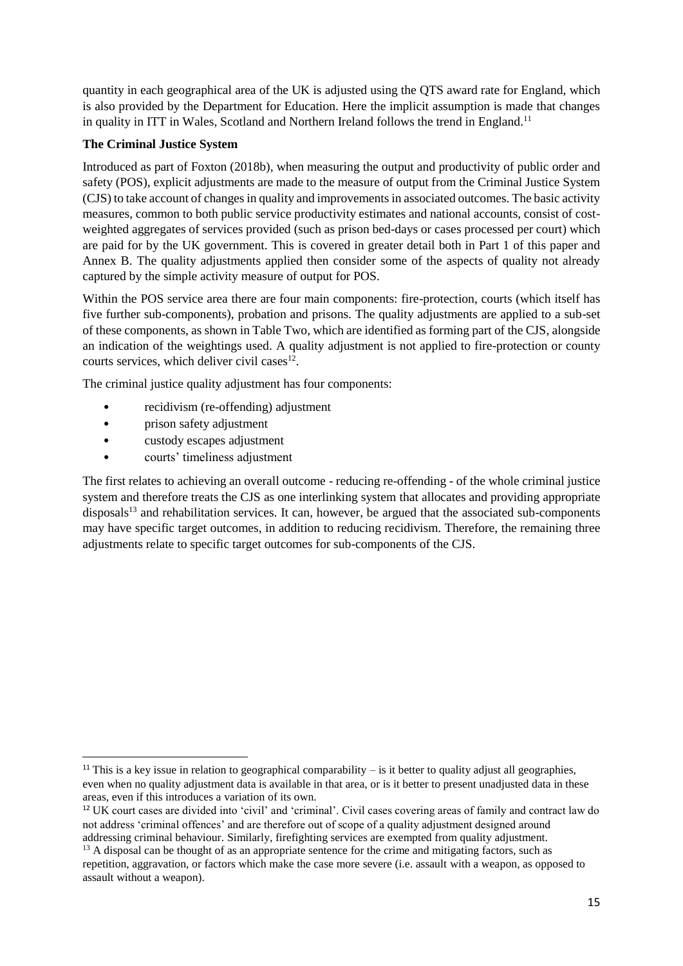quantity in each geographical area of the UK is adjusted using the QTS award rate for England, which is also provided by the Department for Education. Here the implicit assumption is made that changes in quality in ITT in Wales, Scotland and Northern Ireland follows the trend in England.<sup>11</sup>

# **The Criminal Justice System**

Introduced as part of Foxton (2018b), when measuring the output and productivity of public order and safety (POS), explicit adjustments are made to the measure of output from the Criminal Justice System (CJS) to take account of changes in quality and improvements in associated outcomes. The basic activity measures, common to both public service productivity estimates and national accounts, consist of costweighted aggregates of services provided (such as prison bed-days or cases processed per court) which are paid for by the UK government. This is covered in greater detail both in Part 1 of this paper and Annex B. The quality adjustments applied then consider some of the aspects of quality not already captured by the simple activity measure of output for POS.

Within the POS service area there are four main components: fire-protection, courts (which itself has five further sub-components), probation and prisons. The quality adjustments are applied to a sub-set of these components, as shown in Table Two, which are identified as forming part of the CJS, alongside an indication of the weightings used. A quality adjustment is not applied to fire-protection or county courts services, which deliver civil cases $^{12}$ .

The criminal justice quality adjustment has four components:

- recidivism (re-offending) adjustment
- prison safety adjustment

**.** 

- custody escapes adjustment
- courts' timeliness adjustment

The first relates to achieving an overall outcome - reducing re-offending - of the whole criminal justice system and therefore treats the CJS as one interlinking system that allocates and providing appropriate  $dissposals<sup>13</sup>$  and rehabilitation services. It can, however, be argued that the associated sub-components may have specific target outcomes, in addition to reducing recidivism. Therefore, the remaining three adjustments relate to specific target outcomes for sub-components of the CJS.

<sup>&</sup>lt;sup>11</sup> This is a key issue in relation to geographical comparability  $-$  is it better to quality adjust all geographies, even when no quality adjustment data is available in that area, or is it better to present unadjusted data in these areas, even if this introduces a variation of its own.

<sup>12</sup> UK court cases are divided into 'civil' and 'criminal'. Civil cases covering areas of family and contract law do not address 'criminal offences' and are therefore out of scope of a quality adjustment designed around addressing criminal behaviour. Similarly, firefighting services are exempted from quality adjustment.

<sup>&</sup>lt;sup>13</sup> A disposal can be thought of as an appropriate sentence for the crime and mitigating factors, such as repetition, aggravation, or factors which make the case more severe (i.e. assault with a weapon, as opposed to assault without a weapon).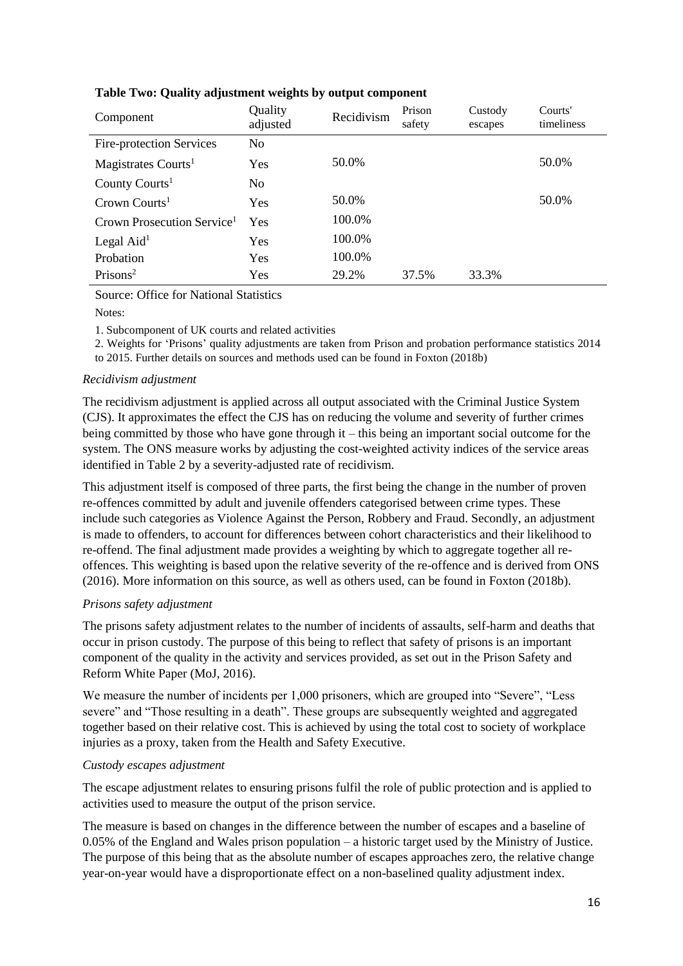| Component                              | Quality<br>adjusted | Recidivism | Prison<br>safety | Custody<br>escapes | Courts'<br>timeliness |
|----------------------------------------|---------------------|------------|------------------|--------------------|-----------------------|
| Fire-protection Services               | No                  |            |                  |                    |                       |
| Magistrates Courts <sup>1</sup>        | Yes                 | 50.0%      |                  |                    | 50.0%                 |
| County Courts <sup>1</sup>             | No                  |            |                  |                    |                       |
| Crown Courts <sup>1</sup>              | Yes                 | 50.0%      |                  |                    | 50.0%                 |
| Crown Prosecution Service <sup>1</sup> | Yes                 | 100.0%     |                  |                    |                       |
| Legal $Aid1$                           | <b>Yes</b>          | 100.0%     |                  |                    |                       |
| Probation                              | Yes                 | 100.0%     |                  |                    |                       |
| Prisons <sup>2</sup>                   | Yes                 | 29.2%      | 37.5%            | 33.3%              |                       |

#### **Table Two: Quality adjustment weights by output component**

Source: Office for National Statistics

Notes:

1. Subcomponent of UK courts and related activities

2. Weights for 'Prisons' quality adjustments are taken from Prison and probation performance statistics 2014

to 2015. Further details on sources and methods used can be found in Foxton (2018b)

#### *Recidivism adjustment*

The recidivism adjustment is applied across all output associated with the Criminal Justice System (CJS). It approximates the effect the CJS has on reducing the volume and severity of further crimes being committed by those who have gone through it – this being an important social outcome for the system. The ONS measure works by adjusting the cost-weighted activity indices of the service areas identified in Table 2 by a severity-adjusted rate of recidivism.

This adjustment itself is composed of three parts, the first being the change in the number of proven re-offences committed by adult and juvenile offenders categorised between crime types. These include such categories as Violence Against the Person, Robbery and Fraud. Secondly, an adjustment is made to offenders, to account for differences between cohort characteristics and their likelihood to re-offend. The final adjustment made provides a weighting by which to aggregate together all reoffences. This weighting is based upon the relative severity of the re-offence and is derived from ONS (2016). More information on this source, as well as others used, can be found in Foxton (2018b).

# *Prisons safety adjustment*

The prisons safety adjustment relates to the number of incidents of assaults, self-harm and deaths that occur in prison custody. The purpose of this being to reflect that safety of prisons is an important component of the quality in the activity and services provided, as set out in the Prison Safety and Reform White Paper (MoJ, 2016).

We measure the number of incidents per 1,000 prisoners, which are grouped into "Severe", "Less severe" and "Those resulting in a death". These groups are subsequently weighted and aggregated together based on their relative cost. This is achieved by using the total cost to society of workplace injuries as a proxy, taken from the Health and Safety Executive.

# *Custody escapes adjustment*

The escape adjustment relates to ensuring prisons fulfil the role of public protection and is applied to activities used to measure the output of the prison service.

The measure is based on changes in the difference between the number of escapes and a baseline of 0.05% of the England and Wales prison population – a historic target used by the Ministry of Justice. The purpose of this being that as the absolute number of escapes approaches zero, the relative change year-on-year would have a disproportionate effect on a non-baselined quality adjustment index.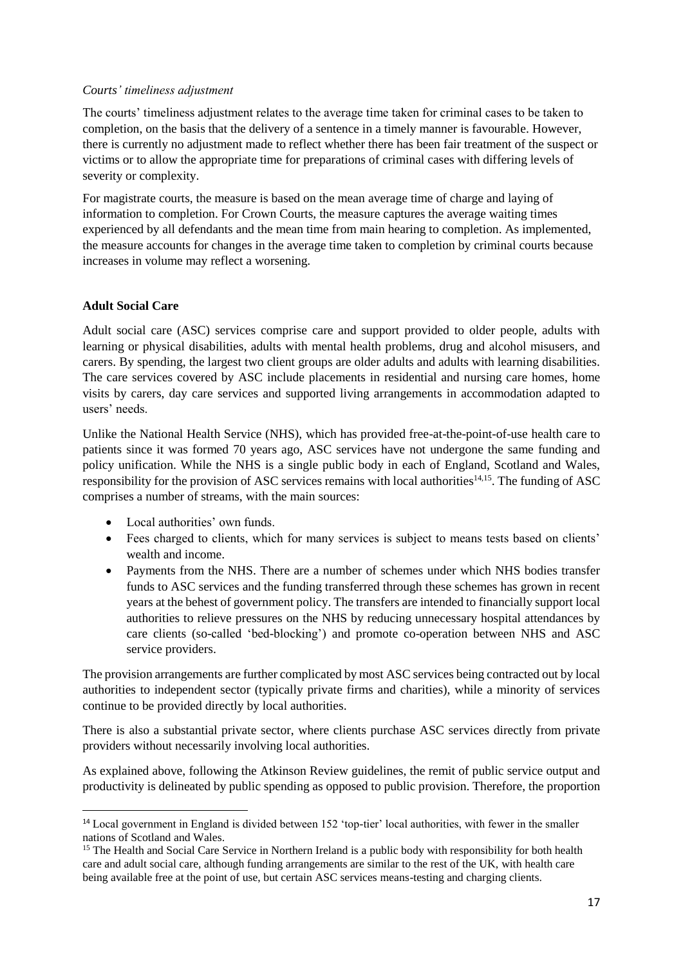#### *Courts' timeliness adjustment*

The courts' timeliness adjustment relates to the average time taken for criminal cases to be taken to completion, on the basis that the delivery of a sentence in a timely manner is favourable. However, there is currently no adjustment made to reflect whether there has been fair treatment of the suspect or victims or to allow the appropriate time for preparations of criminal cases with differing levels of severity or complexity.

For magistrate courts, the measure is based on the mean average time of charge and laying of information to completion. For Crown Courts, the measure captures the average waiting times experienced by all defendants and the mean time from main hearing to completion. As implemented, the measure accounts for changes in the average time taken to completion by criminal courts because increases in volume may reflect a worsening.

# **Adult Social Care**

 $\overline{a}$ 

Adult social care (ASC) services comprise care and support provided to older people, adults with learning or physical disabilities, adults with mental health problems, drug and alcohol misusers, and carers. By spending, the largest two client groups are older adults and adults with learning disabilities. The care services covered by ASC include placements in residential and nursing care homes, home visits by carers, day care services and supported living arrangements in accommodation adapted to users' needs.

Unlike the National Health Service (NHS), which has provided free-at-the-point-of-use health care to patients since it was formed 70 years ago, ASC services have not undergone the same funding and policy unification. While the NHS is a single public body in each of England, Scotland and Wales, responsibility for the provision of ASC services remains with local authorities<sup>14,15</sup>. The funding of ASC comprises a number of streams, with the main sources:

- Local authorities' own funds.
- Fees charged to clients, which for many services is subject to means tests based on clients' wealth and income.
- Payments from the NHS. There are a number of schemes under which NHS bodies transfer funds to ASC services and the funding transferred through these schemes has grown in recent years at the behest of government policy. The transfers are intended to financially support local authorities to relieve pressures on the NHS by reducing unnecessary hospital attendances by care clients (so-called 'bed-blocking') and promote co-operation between NHS and ASC service providers.

The provision arrangements are further complicated by most ASC services being contracted out by local authorities to independent sector (typically private firms and charities), while a minority of services continue to be provided directly by local authorities.

There is also a substantial private sector, where clients purchase ASC services directly from private providers without necessarily involving local authorities.

As explained above, following the Atkinson Review guidelines, the remit of public service output and productivity is delineated by public spending as opposed to public provision. Therefore, the proportion

<sup>&</sup>lt;sup>14</sup> Local government in England is divided between 152 'top-tier' local authorities, with fewer in the smaller nations of Scotland and Wales.

<sup>&</sup>lt;sup>15</sup> The Health and Social Care Service in Northern Ireland is a public body with responsibility for both health care and adult social care, although funding arrangements are similar to the rest of the UK, with health care being available free at the point of use, but certain ASC services means-testing and charging clients.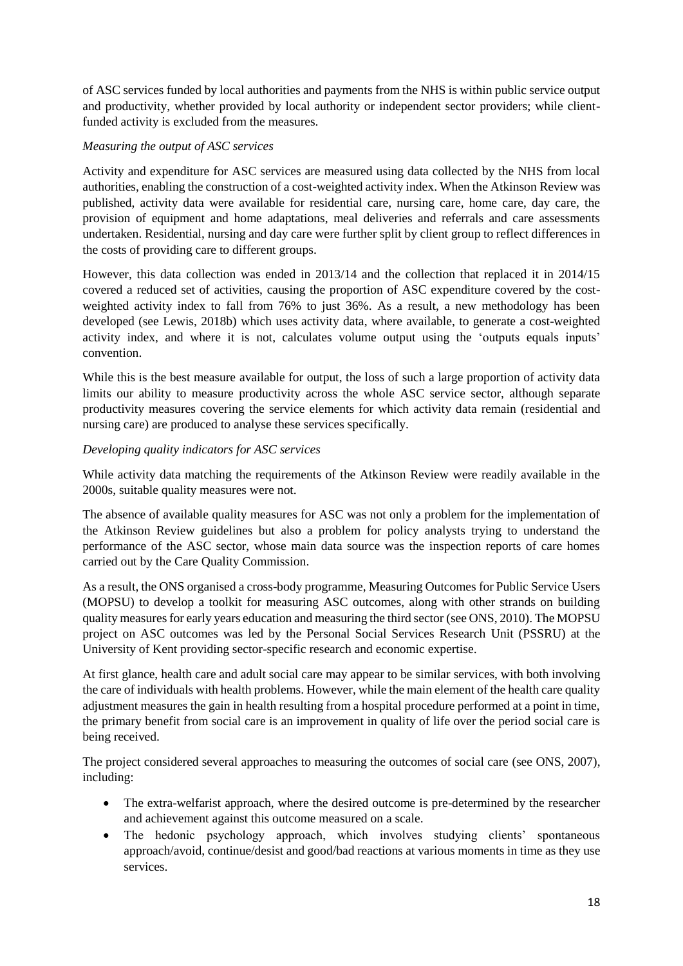of ASC services funded by local authorities and payments from the NHS is within public service output and productivity, whether provided by local authority or independent sector providers; while clientfunded activity is excluded from the measures.

# *Measuring the output of ASC services*

Activity and expenditure for ASC services are measured using data collected by the NHS from local authorities, enabling the construction of a cost-weighted activity index. When the Atkinson Review was published, activity data were available for residential care, nursing care, home care, day care, the provision of equipment and home adaptations, meal deliveries and referrals and care assessments undertaken. Residential, nursing and day care were further split by client group to reflect differences in the costs of providing care to different groups.

However, this data collection was ended in 2013/14 and the collection that replaced it in 2014/15 covered a reduced set of activities, causing the proportion of ASC expenditure covered by the costweighted activity index to fall from 76% to just 36%. As a result, a new methodology has been developed (see Lewis, 2018b) which uses activity data, where available, to generate a cost-weighted activity index, and where it is not, calculates volume output using the 'outputs equals inputs' convention.

While this is the best measure available for output, the loss of such a large proportion of activity data limits our ability to measure productivity across the whole ASC service sector, although separate productivity measures covering the service elements for which activity data remain (residential and nursing care) are produced to analyse these services specifically.

# *Developing quality indicators for ASC services*

While activity data matching the requirements of the Atkinson Review were readily available in the 2000s, suitable quality measures were not.

The absence of available quality measures for ASC was not only a problem for the implementation of the Atkinson Review guidelines but also a problem for policy analysts trying to understand the performance of the ASC sector, whose main data source was the inspection reports of care homes carried out by the Care Quality Commission.

As a result, the ONS organised a cross-body programme, Measuring Outcomes for Public Service Users (MOPSU) to develop a toolkit for measuring ASC outcomes, along with other strands on building quality measures for early years education and measuring the third sector (see ONS, 2010). The MOPSU project on ASC outcomes was led by the Personal Social Services Research Unit (PSSRU) at the University of Kent providing sector-specific research and economic expertise.

At first glance, health care and adult social care may appear to be similar services, with both involving the care of individuals with health problems. However, while the main element of the health care quality adjustment measures the gain in health resulting from a hospital procedure performed at a point in time, the primary benefit from social care is an improvement in quality of life over the period social care is being received.

The project considered several approaches to measuring the outcomes of social care (see ONS, 2007), including:

- The extra-welfarist approach, where the desired outcome is pre-determined by the researcher and achievement against this outcome measured on a scale.
- The hedonic psychology approach, which involves studying clients' spontaneous approach/avoid, continue/desist and good/bad reactions at various moments in time as they use services.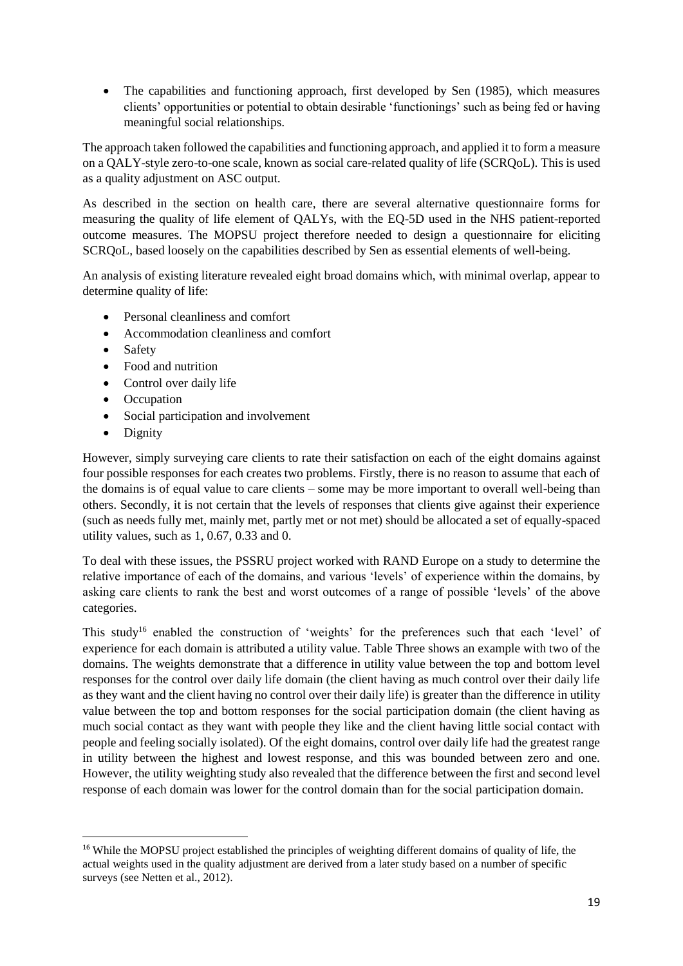• The capabilities and functioning approach, first developed by Sen (1985), which measures clients' opportunities or potential to obtain desirable 'functionings' such as being fed or having meaningful social relationships.

The approach taken followed the capabilities and functioning approach, and applied it to form a measure on a QALY-style zero-to-one scale, known as social care-related quality of life (SCRQoL). This is used as a quality adjustment on ASC output.

As described in the section on health care, there are several alternative questionnaire forms for measuring the quality of life element of QALYs, with the EQ-5D used in the NHS patient-reported outcome measures. The MOPSU project therefore needed to design a questionnaire for eliciting SCRQoL, based loosely on the capabilities described by Sen as essential elements of well-being.

An analysis of existing literature revealed eight broad domains which, with minimal overlap, appear to determine quality of life:

- Personal cleanliness and comfort
- Accommodation cleanliness and comfort
- Safety
- Food and nutrition
- Control over daily life
- Occupation
- Social participation and involvement
- Dignity

**.** 

However, simply surveying care clients to rate their satisfaction on each of the eight domains against four possible responses for each creates two problems. Firstly, there is no reason to assume that each of the domains is of equal value to care clients – some may be more important to overall well-being than others. Secondly, it is not certain that the levels of responses that clients give against their experience (such as needs fully met, mainly met, partly met or not met) should be allocated a set of equally-spaced utility values, such as 1, 0.67, 0.33 and 0.

To deal with these issues, the PSSRU project worked with RAND Europe on a study to determine the relative importance of each of the domains, and various 'levels' of experience within the domains, by asking care clients to rank the best and worst outcomes of a range of possible 'levels' of the above categories.

This study<sup>16</sup> enabled the construction of 'weights' for the preferences such that each 'level' of experience for each domain is attributed a utility value. Table Three shows an example with two of the domains. The weights demonstrate that a difference in utility value between the top and bottom level responses for the control over daily life domain (the client having as much control over their daily life as they want and the client having no control over their daily life) is greater than the difference in utility value between the top and bottom responses for the social participation domain (the client having as much social contact as they want with people they like and the client having little social contact with people and feeling socially isolated). Of the eight domains, control over daily life had the greatest range in utility between the highest and lowest response, and this was bounded between zero and one. However, the utility weighting study also revealed that the difference between the first and second level response of each domain was lower for the control domain than for the social participation domain.

<sup>&</sup>lt;sup>16</sup> While the MOPSU project established the principles of weighting different domains of quality of life, the actual weights used in the quality adjustment are derived from a later study based on a number of specific surveys (see Netten et al., 2012).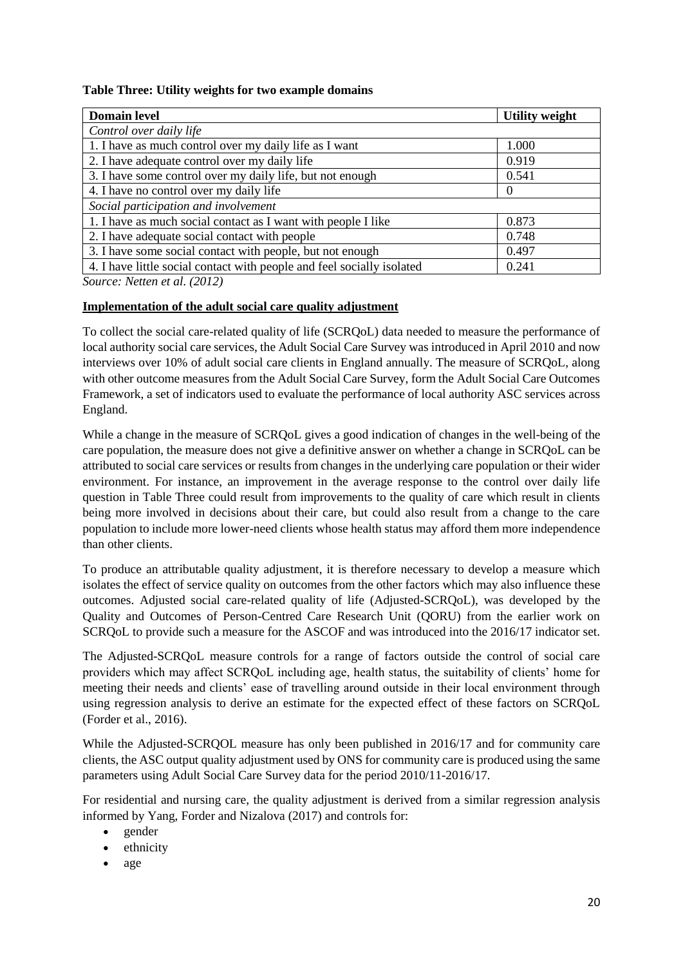#### **Table Three: Utility weights for two example domains**

| <b>Domain level</b>                                                    | <b>Utility weight</b> |
|------------------------------------------------------------------------|-----------------------|
| Control over daily life                                                |                       |
| 1. I have as much control over my daily life as I want                 | 1.000                 |
| 2. I have adequate control over my daily life                          | 0.919                 |
| 3. I have some control over my daily life, but not enough              | 0.541                 |
| 4. I have no control over my daily life                                | $\theta$              |
| Social participation and involvement                                   |                       |
| 1. I have as much social contact as I want with people I like          | 0.873                 |
| 2. I have adequate social contact with people                          | 0.748                 |
| 3. I have some social contact with people, but not enough              | 0.497                 |
| 4. I have little social contact with people and feel socially isolated | 0.241                 |

*Source: Netten et al. (2012)* 

#### **Implementation of the adult social care quality adjustment**

To collect the social care-related quality of life (SCRQoL) data needed to measure the performance of local authority social care services, the Adult Social Care Survey was introduced in April 2010 and now interviews over 10% of adult social care clients in England annually. The measure of SCRQoL, along with other outcome measures from the Adult Social Care Survey, form the Adult Social Care Outcomes Framework, a set of indicators used to evaluate the performance of local authority ASC services across England.

While a change in the measure of SCRQoL gives a good indication of changes in the well-being of the care population, the measure does not give a definitive answer on whether a change in SCRQoL can be attributed to social care services or results from changes in the underlying care population or their wider environment. For instance, an improvement in the average response to the control over daily life question in Table Three could result from improvements to the quality of care which result in clients being more involved in decisions about their care, but could also result from a change to the care population to include more lower-need clients whose health status may afford them more independence than other clients.

To produce an attributable quality adjustment, it is therefore necessary to develop a measure which isolates the effect of service quality on outcomes from the other factors which may also influence these outcomes. Adjusted social care-related quality of life (Adjusted-SCRQoL), was developed by the Quality and Outcomes of Person-Centred Care Research Unit (QORU) from the earlier work on SCRQoL to provide such a measure for the ASCOF and was introduced into the 2016/17 indicator set.

The Adjusted-SCRQoL measure controls for a range of factors outside the control of social care providers which may affect SCRQoL including age, health status, the suitability of clients' home for meeting their needs and clients' ease of travelling around outside in their local environment through using regression analysis to derive an estimate for the expected effect of these factors on SCRQoL (Forder et al., 2016).

While the Adjusted-SCRQOL measure has only been published in 2016/17 and for community care clients, the ASC output quality adjustment used by ONS for community care is produced using the same parameters using Adult Social Care Survey data for the period 2010/11-2016/17.

For residential and nursing care, the quality adjustment is derived from a similar regression analysis informed by Yang, Forder and Nizalova (2017) and controls for:

- gender
- ethnicity
- age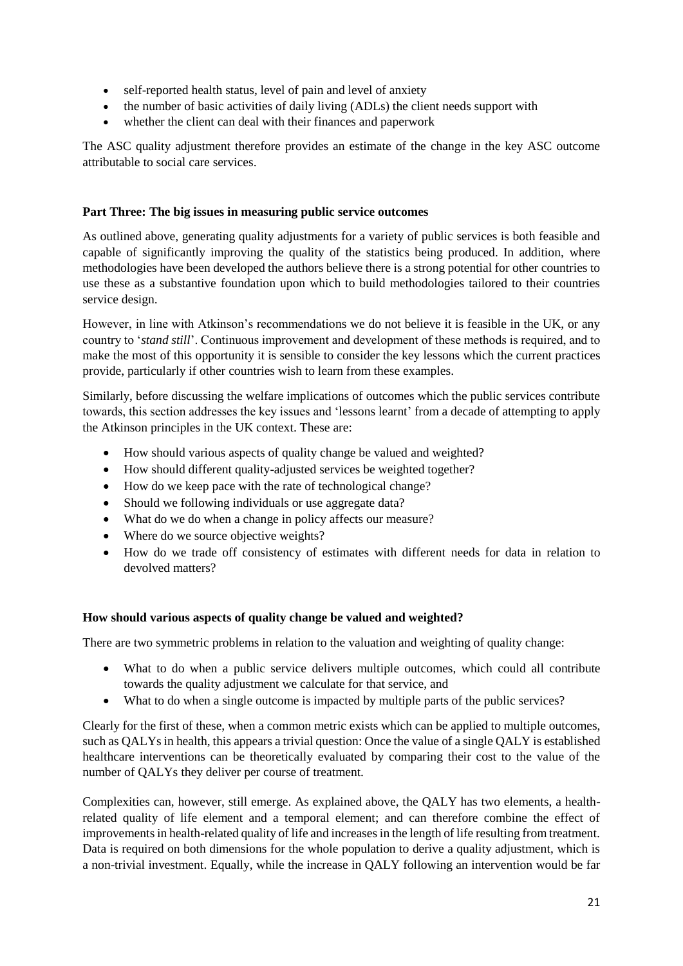- self-reported health status, level of pain and level of anxiety
- the number of basic activities of daily living (ADLs) the client needs support with
- whether the client can deal with their finances and paperwork

The ASC quality adjustment therefore provides an estimate of the change in the key ASC outcome attributable to social care services.

# **Part Three: The big issues in measuring public service outcomes**

As outlined above, generating quality adjustments for a variety of public services is both feasible and capable of significantly improving the quality of the statistics being produced. In addition, where methodologies have been developed the authors believe there is a strong potential for other countries to use these as a substantive foundation upon which to build methodologies tailored to their countries service design.

However, in line with Atkinson's recommendations we do not believe it is feasible in the UK, or any country to '*stand still*'. Continuous improvement and development of these methods is required, and to make the most of this opportunity it is sensible to consider the key lessons which the current practices provide, particularly if other countries wish to learn from these examples.

Similarly, before discussing the welfare implications of outcomes which the public services contribute towards, this section addresses the key issues and 'lessons learnt' from a decade of attempting to apply the Atkinson principles in the UK context. These are:

- How should various aspects of quality change be valued and weighted?
- How should different quality-adjusted services be weighted together?
- How do we keep pace with the rate of technological change?
- Should we following individuals or use aggregate data?
- What do we do when a change in policy affects our measure?
- Where do we source objective weights?
- How do we trade off consistency of estimates with different needs for data in relation to devolved matters?

# **How should various aspects of quality change be valued and weighted?**

There are two symmetric problems in relation to the valuation and weighting of quality change:

- What to do when a public service delivers multiple outcomes, which could all contribute towards the quality adjustment we calculate for that service, and
- What to do when a single outcome is impacted by multiple parts of the public services?

Clearly for the first of these, when a common metric exists which can be applied to multiple outcomes, such as QALYs in health, this appears a trivial question: Once the value of a single QALY is established healthcare interventions can be theoretically evaluated by comparing their cost to the value of the number of QALYs they deliver per course of treatment.

Complexities can, however, still emerge. As explained above, the QALY has two elements, a healthrelated quality of life element and a temporal element; and can therefore combine the effect of improvements in health-related quality of life and increases in the length of life resulting from treatment. Data is required on both dimensions for the whole population to derive a quality adjustment, which is a non-trivial investment. Equally, while the increase in QALY following an intervention would be far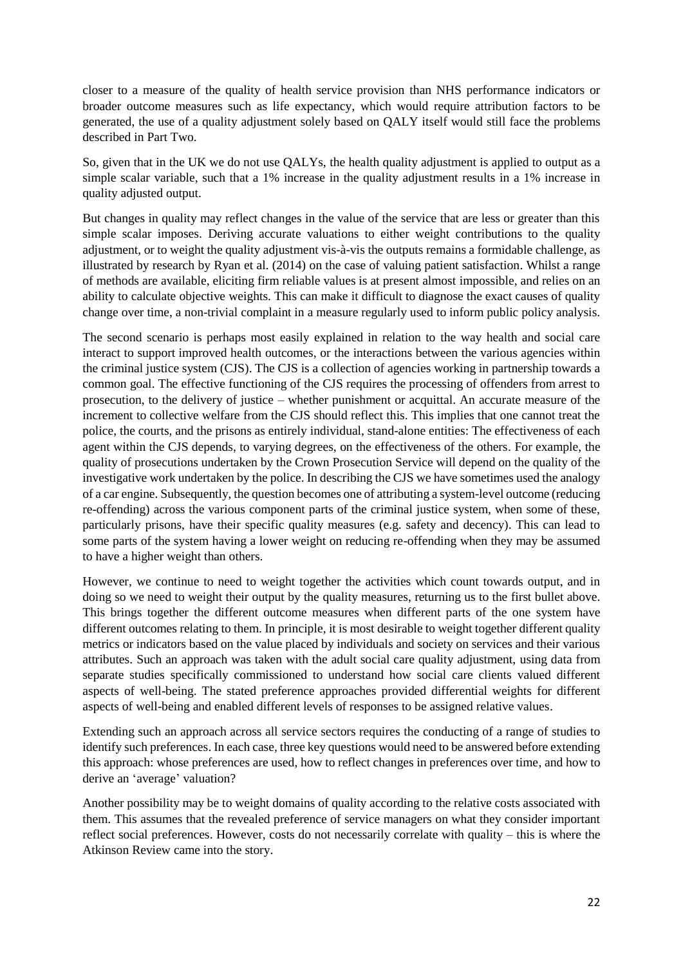closer to a measure of the quality of health service provision than NHS performance indicators or broader outcome measures such as life expectancy, which would require attribution factors to be generated, the use of a quality adjustment solely based on QALY itself would still face the problems described in Part Two.

So, given that in the UK we do not use QALYs, the health quality adjustment is applied to output as a simple scalar variable, such that a 1% increase in the quality adjustment results in a 1% increase in quality adjusted output.

But changes in quality may reflect changes in the value of the service that are less or greater than this simple scalar imposes. Deriving accurate valuations to either weight contributions to the quality adjustment, or to weight the quality adjustment vis-à-vis the outputs remains a formidable challenge, as illustrated by research by Ryan et al. (2014) on the case of valuing patient satisfaction. Whilst a range of methods are available, eliciting firm reliable values is at present almost impossible, and relies on an ability to calculate objective weights. This can make it difficult to diagnose the exact causes of quality change over time, a non-trivial complaint in a measure regularly used to inform public policy analysis.

The second scenario is perhaps most easily explained in relation to the way health and social care interact to support improved health outcomes, or the interactions between the various agencies within the criminal justice system (CJS). The CJS is a collection of agencies working in partnership towards a common goal. The effective functioning of the CJS requires the processing of offenders from arrest to prosecution, to the delivery of justice – whether punishment or acquittal. An accurate measure of the increment to collective welfare from the CJS should reflect this. This implies that one cannot treat the police, the courts, and the prisons as entirely individual, stand-alone entities: The effectiveness of each agent within the CJS depends, to varying degrees, on the effectiveness of the others. For example, the quality of prosecutions undertaken by the Crown Prosecution Service will depend on the quality of the investigative work undertaken by the police. In describing the CJS we have sometimes used the analogy of a car engine. Subsequently, the question becomes one of attributing a system-level outcome (reducing re-offending) across the various component parts of the criminal justice system, when some of these, particularly prisons, have their specific quality measures (e.g. safety and decency). This can lead to some parts of the system having a lower weight on reducing re-offending when they may be assumed to have a higher weight than others.

However, we continue to need to weight together the activities which count towards output, and in doing so we need to weight their output by the quality measures, returning us to the first bullet above. This brings together the different outcome measures when different parts of the one system have different outcomes relating to them. In principle, it is most desirable to weight together different quality metrics or indicators based on the value placed by individuals and society on services and their various attributes. Such an approach was taken with the adult social care quality adjustment, using data from separate studies specifically commissioned to understand how social care clients valued different aspects of well-being. The stated preference approaches provided differential weights for different aspects of well-being and enabled different levels of responses to be assigned relative values.

Extending such an approach across all service sectors requires the conducting of a range of studies to identify such preferences. In each case, three key questions would need to be answered before extending this approach: whose preferences are used, how to reflect changes in preferences over time, and how to derive an 'average' valuation?

Another possibility may be to weight domains of quality according to the relative costs associated with them. This assumes that the revealed preference of service managers on what they consider important reflect social preferences. However, costs do not necessarily correlate with quality – this is where the Atkinson Review came into the story.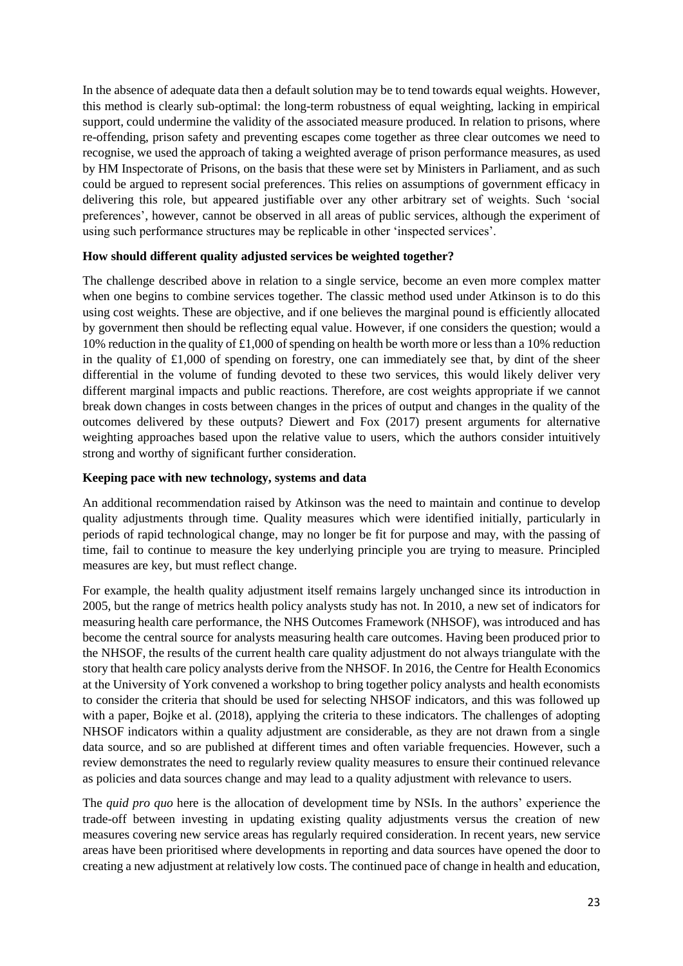In the absence of adequate data then a default solution may be to tend towards equal weights. However, this method is clearly sub-optimal: the long-term robustness of equal weighting, lacking in empirical support, could undermine the validity of the associated measure produced. In relation to prisons, where re-offending, prison safety and preventing escapes come together as three clear outcomes we need to recognise, we used the approach of taking a weighted average of prison performance measures, as used by HM Inspectorate of Prisons, on the basis that these were set by Ministers in Parliament, and as such could be argued to represent social preferences. This relies on assumptions of government efficacy in delivering this role, but appeared justifiable over any other arbitrary set of weights. Such 'social preferences', however, cannot be observed in all areas of public services, although the experiment of using such performance structures may be replicable in other 'inspected services'.

#### **How should different quality adjusted services be weighted together?**

The challenge described above in relation to a single service, become an even more complex matter when one begins to combine services together. The classic method used under Atkinson is to do this using cost weights. These are objective, and if one believes the marginal pound is efficiently allocated by government then should be reflecting equal value. However, if one considers the question; would a 10% reduction in the quality of £1,000 of spending on health be worth more or less than a 10% reduction in the quality of £1,000 of spending on forestry, one can immediately see that, by dint of the sheer differential in the volume of funding devoted to these two services, this would likely deliver very different marginal impacts and public reactions. Therefore, are cost weights appropriate if we cannot break down changes in costs between changes in the prices of output and changes in the quality of the outcomes delivered by these outputs? Diewert and Fox (2017) present arguments for alternative weighting approaches based upon the relative value to users, which the authors consider intuitively strong and worthy of significant further consideration.

#### **Keeping pace with new technology, systems and data**

An additional recommendation raised by Atkinson was the need to maintain and continue to develop quality adjustments through time. Quality measures which were identified initially, particularly in periods of rapid technological change, may no longer be fit for purpose and may, with the passing of time, fail to continue to measure the key underlying principle you are trying to measure. Principled measures are key, but must reflect change.

For example, the health quality adjustment itself remains largely unchanged since its introduction in 2005, but the range of metrics health policy analysts study has not. In 2010, a new set of indicators for measuring health care performance, the NHS Outcomes Framework (NHSOF), was introduced and has become the central source for analysts measuring health care outcomes. Having been produced prior to the NHSOF, the results of the current health care quality adjustment do not always triangulate with the story that health care policy analysts derive from the NHSOF. In 2016, the Centre for Health Economics at the University of York convened a workshop to bring together policy analysts and health economists to consider the criteria that should be used for selecting NHSOF indicators, and this was followed up with a paper, Bojke et al. (2018), applying the criteria to these indicators. The challenges of adopting NHSOF indicators within a quality adjustment are considerable, as they are not drawn from a single data source, and so are published at different times and often variable frequencies. However, such a review demonstrates the need to regularly review quality measures to ensure their continued relevance as policies and data sources change and may lead to a quality adjustment with relevance to users.

The *quid pro quo* here is the allocation of development time by NSIs. In the authors' experience the trade-off between investing in updating existing quality adjustments versus the creation of new measures covering new service areas has regularly required consideration. In recent years, new service areas have been prioritised where developments in reporting and data sources have opened the door to creating a new adjustment at relatively low costs. The continued pace of change in health and education,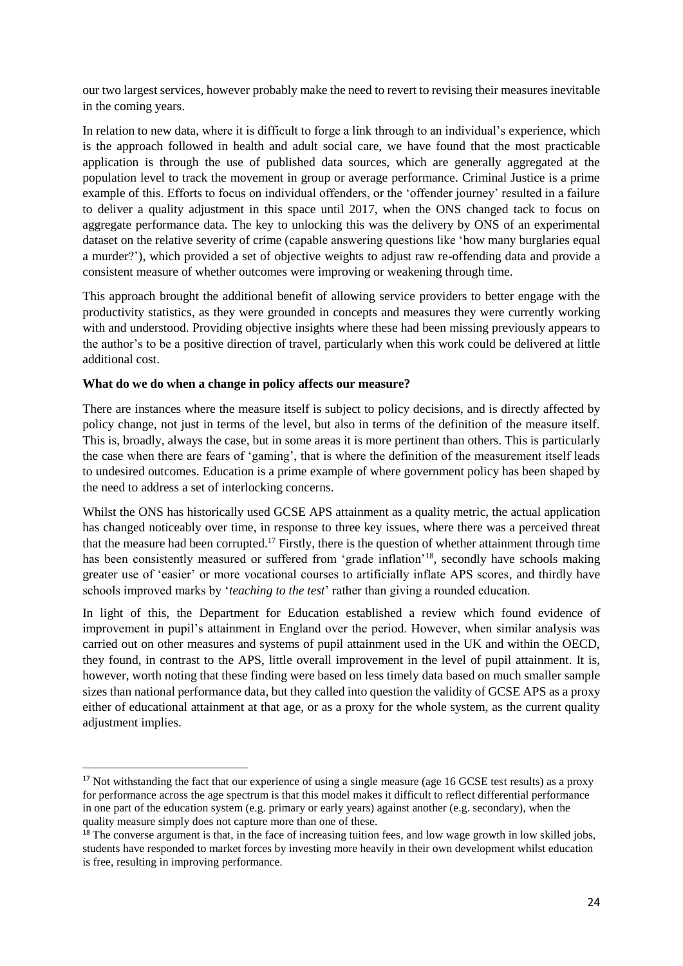our two largest services, however probably make the need to revert to revising their measures inevitable in the coming years.

In relation to new data, where it is difficult to forge a link through to an individual's experience, which is the approach followed in health and adult social care, we have found that the most practicable application is through the use of published data sources, which are generally aggregated at the population level to track the movement in group or average performance. Criminal Justice is a prime example of this. Efforts to focus on individual offenders, or the 'offender journey' resulted in a failure to deliver a quality adjustment in this space until 2017, when the ONS changed tack to focus on aggregate performance data. The key to unlocking this was the delivery by ONS of an experimental dataset on the relative severity of crime (capable answering questions like 'how many burglaries equal a murder?'), which provided a set of objective weights to adjust raw re-offending data and provide a consistent measure of whether outcomes were improving or weakening through time.

This approach brought the additional benefit of allowing service providers to better engage with the productivity statistics, as they were grounded in concepts and measures they were currently working with and understood. Providing objective insights where these had been missing previously appears to the author's to be a positive direction of travel, particularly when this work could be delivered at little additional cost.

#### **What do we do when a change in policy affects our measure?**

1

There are instances where the measure itself is subject to policy decisions, and is directly affected by policy change, not just in terms of the level, but also in terms of the definition of the measure itself. This is, broadly, always the case, but in some areas it is more pertinent than others. This is particularly the case when there are fears of 'gaming', that is where the definition of the measurement itself leads to undesired outcomes. Education is a prime example of where government policy has been shaped by the need to address a set of interlocking concerns.

Whilst the ONS has historically used GCSE APS attainment as a quality metric, the actual application has changed noticeably over time, in response to three key issues, where there was a perceived threat that the measure had been corrupted.<sup>17</sup> Firstly, there is the question of whether attainment through time has been consistently measured or suffered from 'grade inflation'<sup>18</sup>, secondly have schools making greater use of 'easier' or more vocational courses to artificially inflate APS scores, and thirdly have schools improved marks by '*teaching to the test*' rather than giving a rounded education.

In light of this, the Department for Education established a review which found evidence of improvement in pupil's attainment in England over the period. However, when similar analysis was carried out on other measures and systems of pupil attainment used in the UK and within the OECD, they found, in contrast to the APS, little overall improvement in the level of pupil attainment. It is, however, worth noting that these finding were based on less timely data based on much smaller sample sizes than national performance data, but they called into question the validity of GCSE APS as a proxy either of educational attainment at that age, or as a proxy for the whole system, as the current quality adjustment implies.

<sup>&</sup>lt;sup>17</sup> Not withstanding the fact that our experience of using a single measure (age 16 GCSE test results) as a proxy for performance across the age spectrum is that this model makes it difficult to reflect differential performance in one part of the education system (e.g. primary or early years) against another (e.g. secondary), when the quality measure simply does not capture more than one of these.

 $18$  The converse argument is that, in the face of increasing tuition fees, and low wage growth in low skilled jobs, students have responded to market forces by investing more heavily in their own development whilst education is free, resulting in improving performance.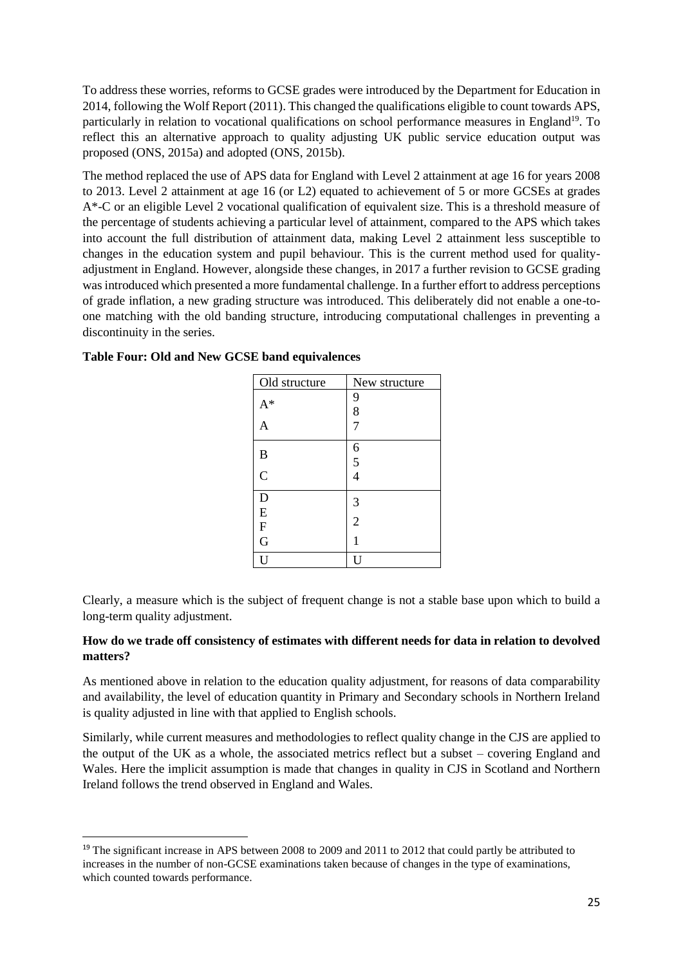To address these worries, reforms to GCSE grades were introduced by the Department for Education in 2014, following the Wolf Report (2011). This changed the qualifications eligible to count towards APS, particularly in relation to vocational qualifications on school performance measures in England<sup>19</sup>. To reflect this an alternative approach to quality adjusting UK public service education output was proposed (ONS, 2015a) and adopted (ONS, 2015b).

The method replaced the use of APS data for England with Level 2 attainment at age 16 for years 2008 to 2013. Level 2 attainment at age 16 (or L2) equated to achievement of 5 or more GCSEs at grades A\*-C or an eligible Level 2 vocational qualification of equivalent size. This is a threshold measure of the percentage of students achieving a particular level of attainment, compared to the APS which takes into account the full distribution of attainment data, making Level 2 attainment less susceptible to changes in the education system and pupil behaviour. This is the current method used for qualityadjustment in England. However, alongside these changes, in 2017 a further revision to GCSE grading was introduced which presented a more fundamental challenge. In a further effort to address perceptions of grade inflation, a new grading structure was introduced. This deliberately did not enable a one-toone matching with the old banding structure, introducing computational challenges in preventing a discontinuity in the series.

| Old structure                | New structure  |
|------------------------------|----------------|
| $\mathbf{A}^*$               | 9<br>8         |
| Α                            | 7              |
| B                            | 6<br>5         |
| $\overline{C}$               |                |
| $\mathbf D$                  | 3              |
| E<br>$\overline{\mathrm{F}}$ | $\overline{2}$ |
| G                            |                |
|                              |                |

**Table Four: Old and New GCSE band equivalences**

**.** 

Clearly, a measure which is the subject of frequent change is not a stable base upon which to build a long-term quality adjustment.

#### **How do we trade off consistency of estimates with different needs for data in relation to devolved matters?**

As mentioned above in relation to the education quality adjustment, for reasons of data comparability and availability, the level of education quantity in Primary and Secondary schools in Northern Ireland is quality adjusted in line with that applied to English schools.

Similarly, while current measures and methodologies to reflect quality change in the CJS are applied to the output of the UK as a whole, the associated metrics reflect but a subset – covering England and Wales. Here the implicit assumption is made that changes in quality in CJS in Scotland and Northern Ireland follows the trend observed in England and Wales.

<sup>&</sup>lt;sup>19</sup> The significant increase in APS between 2008 to 2009 and 2011 to 2012 that could partly be attributed to increases in the number of non-GCSE examinations taken because of changes in the type of examinations, which counted towards performance.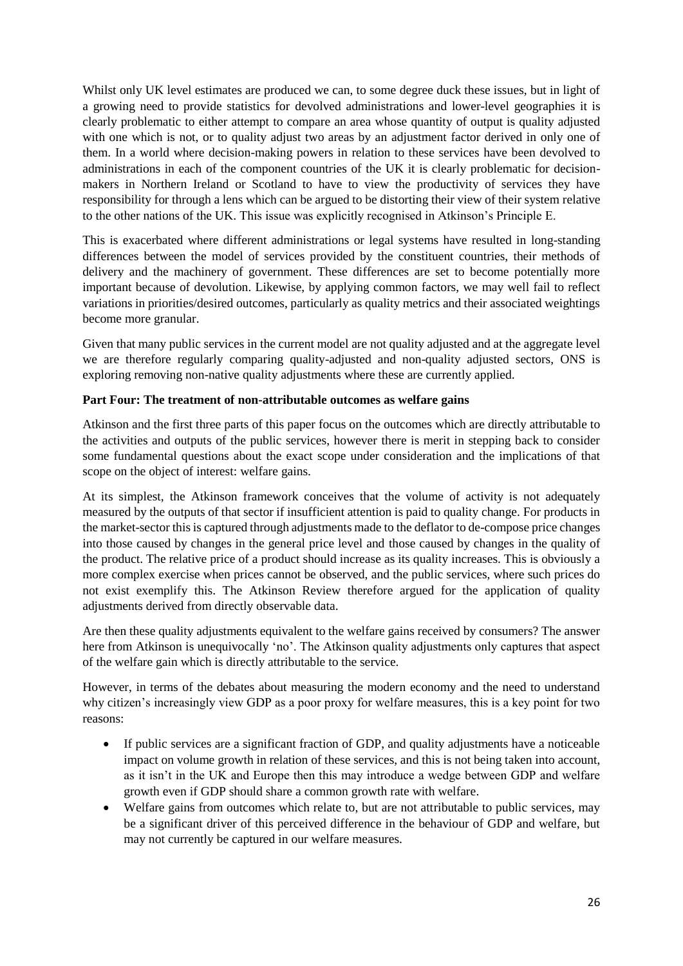Whilst only UK level estimates are produced we can, to some degree duck these issues, but in light of a growing need to provide statistics for devolved administrations and lower-level geographies it is clearly problematic to either attempt to compare an area whose quantity of output is quality adjusted with one which is not, or to quality adjust two areas by an adjustment factor derived in only one of them. In a world where decision-making powers in relation to these services have been devolved to administrations in each of the component countries of the UK it is clearly problematic for decisionmakers in Northern Ireland or Scotland to have to view the productivity of services they have responsibility for through a lens which can be argued to be distorting their view of their system relative to the other nations of the UK. This issue was explicitly recognised in Atkinson's Principle E.

This is exacerbated where different administrations or legal systems have resulted in long-standing differences between the model of services provided by the constituent countries, their methods of delivery and the machinery of government. These differences are set to become potentially more important because of devolution. Likewise, by applying common factors, we may well fail to reflect variations in priorities/desired outcomes, particularly as quality metrics and their associated weightings become more granular.

Given that many public services in the current model are not quality adjusted and at the aggregate level we are therefore regularly comparing quality-adjusted and non-quality adjusted sectors, ONS is exploring removing non-native quality adjustments where these are currently applied.

#### **Part Four: The treatment of non-attributable outcomes as welfare gains**

Atkinson and the first three parts of this paper focus on the outcomes which are directly attributable to the activities and outputs of the public services, however there is merit in stepping back to consider some fundamental questions about the exact scope under consideration and the implications of that scope on the object of interest: welfare gains.

At its simplest, the Atkinson framework conceives that the volume of activity is not adequately measured by the outputs of that sector if insufficient attention is paid to quality change. For products in the market-sector this is captured through adjustments made to the deflator to de-compose price changes into those caused by changes in the general price level and those caused by changes in the quality of the product. The relative price of a product should increase as its quality increases. This is obviously a more complex exercise when prices cannot be observed, and the public services, where such prices do not exist exemplify this. The Atkinson Review therefore argued for the application of quality adjustments derived from directly observable data.

Are then these quality adjustments equivalent to the welfare gains received by consumers? The answer here from Atkinson is unequivocally 'no'. The Atkinson quality adjustments only captures that aspect of the welfare gain which is directly attributable to the service.

However, in terms of the debates about measuring the modern economy and the need to understand why citizen's increasingly view GDP as a poor proxy for welfare measures, this is a key point for two reasons:

- If public services are a significant fraction of GDP, and quality adjustments have a noticeable impact on volume growth in relation of these services, and this is not being taken into account, as it isn't in the UK and Europe then this may introduce a wedge between GDP and welfare growth even if GDP should share a common growth rate with welfare.
- Welfare gains from outcomes which relate to, but are not attributable to public services, may be a significant driver of this perceived difference in the behaviour of GDP and welfare, but may not currently be captured in our welfare measures.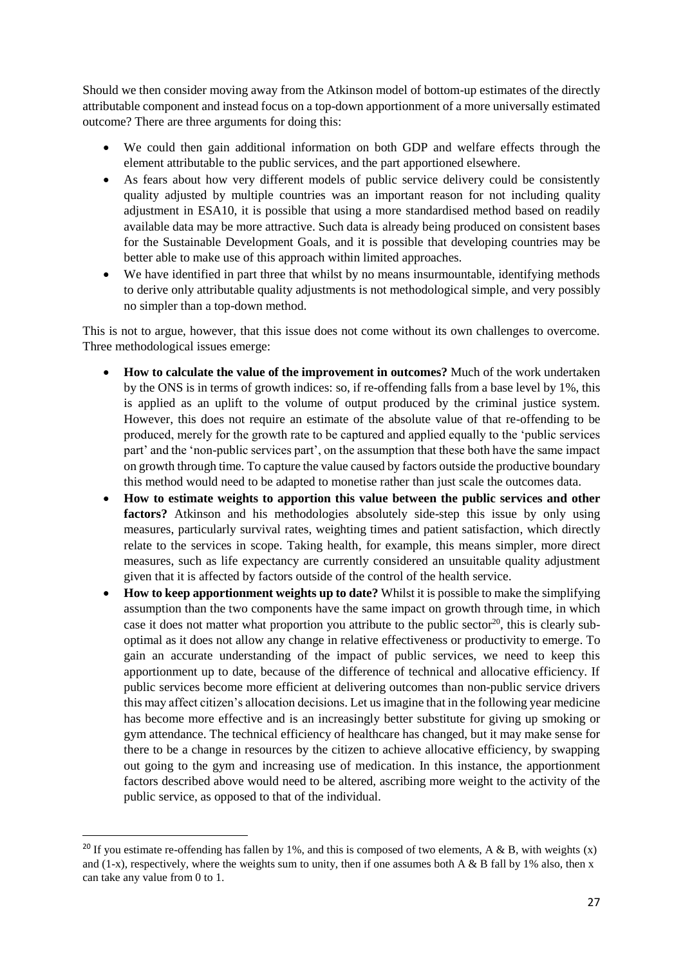Should we then consider moving away from the Atkinson model of bottom-up estimates of the directly attributable component and instead focus on a top-down apportionment of a more universally estimated outcome? There are three arguments for doing this:

- We could then gain additional information on both GDP and welfare effects through the element attributable to the public services, and the part apportioned elsewhere.
- As fears about how very different models of public service delivery could be consistently quality adjusted by multiple countries was an important reason for not including quality adjustment in ESA10, it is possible that using a more standardised method based on readily available data may be more attractive. Such data is already being produced on consistent bases for the Sustainable Development Goals, and it is possible that developing countries may be better able to make use of this approach within limited approaches.
- We have identified in part three that whilst by no means insurmountable, identifying methods to derive only attributable quality adjustments is not methodological simple, and very possibly no simpler than a top-down method.

This is not to argue, however, that this issue does not come without its own challenges to overcome. Three methodological issues emerge:

- **How to calculate the value of the improvement in outcomes?** Much of the work undertaken by the ONS is in terms of growth indices: so, if re-offending falls from a base level by 1%, this is applied as an uplift to the volume of output produced by the criminal justice system. However, this does not require an estimate of the absolute value of that re-offending to be produced, merely for the growth rate to be captured and applied equally to the 'public services part' and the 'non-public services part', on the assumption that these both have the same impact on growth through time. To capture the value caused by factors outside the productive boundary this method would need to be adapted to monetise rather than just scale the outcomes data.
- **How to estimate weights to apportion this value between the public services and other**  factors? Atkinson and his methodologies absolutely side-step this issue by only using measures, particularly survival rates, weighting times and patient satisfaction, which directly relate to the services in scope. Taking health, for example, this means simpler, more direct measures, such as life expectancy are currently considered an unsuitable quality adjustment given that it is affected by factors outside of the control of the health service.
- **How to keep apportionment weights up to date?** Whilst it is possible to make the simplifying assumption than the two components have the same impact on growth through time, in which case it does not matter what proportion you attribute to the public sector<sup>20</sup>, this is clearly suboptimal as it does not allow any change in relative effectiveness or productivity to emerge. To gain an accurate understanding of the impact of public services, we need to keep this apportionment up to date, because of the difference of technical and allocative efficiency. If public services become more efficient at delivering outcomes than non-public service drivers this may affect citizen's allocation decisions. Let us imagine that in the following year medicine has become more effective and is an increasingly better substitute for giving up smoking or gym attendance. The technical efficiency of healthcare has changed, but it may make sense for there to be a change in resources by the citizen to achieve allocative efficiency, by swapping out going to the gym and increasing use of medication. In this instance, the apportionment factors described above would need to be altered, ascribing more weight to the activity of the public service, as opposed to that of the individual.

1

<sup>&</sup>lt;sup>20</sup> If you estimate re-offending has fallen by 1%, and this is composed of two elements, A & B, with weights (x) and (1-x), respectively, where the weights sum to unity, then if one assumes both A & B fall by 1% also, then x can take any value from 0 to 1.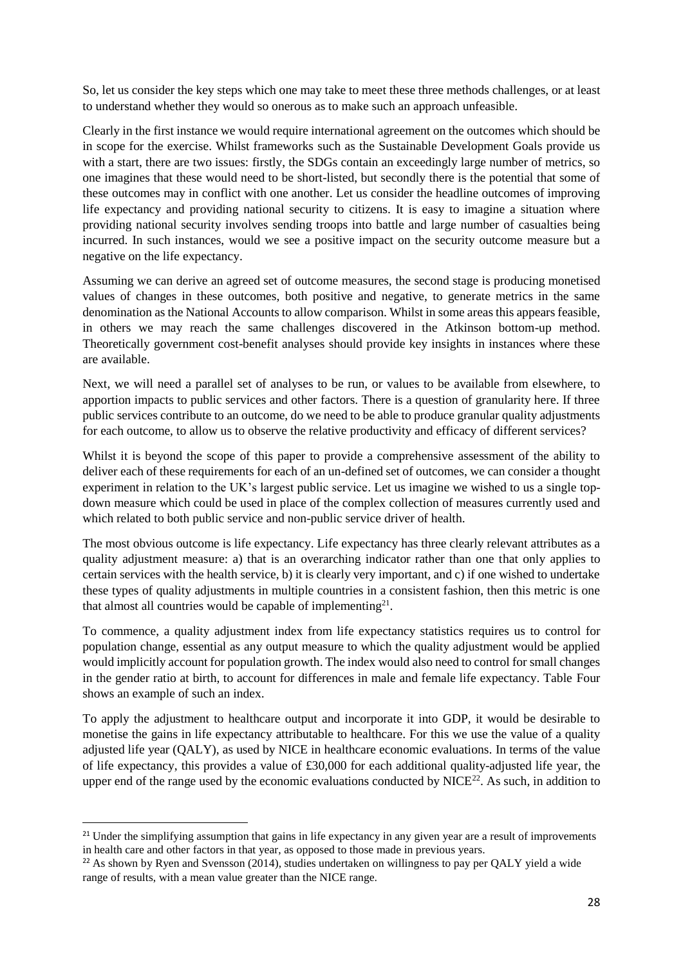So, let us consider the key steps which one may take to meet these three methods challenges, or at least to understand whether they would so onerous as to make such an approach unfeasible.

Clearly in the first instance we would require international agreement on the outcomes which should be in scope for the exercise. Whilst frameworks such as the Sustainable Development Goals provide us with a start, there are two issues: firstly, the SDGs contain an exceedingly large number of metrics, so one imagines that these would need to be short-listed, but secondly there is the potential that some of these outcomes may in conflict with one another. Let us consider the headline outcomes of improving life expectancy and providing national security to citizens. It is easy to imagine a situation where providing national security involves sending troops into battle and large number of casualties being incurred. In such instances, would we see a positive impact on the security outcome measure but a negative on the life expectancy.

Assuming we can derive an agreed set of outcome measures, the second stage is producing monetised values of changes in these outcomes, both positive and negative, to generate metrics in the same denomination as the National Accounts to allow comparison. Whilst in some areas this appears feasible, in others we may reach the same challenges discovered in the Atkinson bottom-up method. Theoretically government cost-benefit analyses should provide key insights in instances where these are available.

Next, we will need a parallel set of analyses to be run, or values to be available from elsewhere, to apportion impacts to public services and other factors. There is a question of granularity here. If three public services contribute to an outcome, do we need to be able to produce granular quality adjustments for each outcome, to allow us to observe the relative productivity and efficacy of different services?

Whilst it is beyond the scope of this paper to provide a comprehensive assessment of the ability to deliver each of these requirements for each of an un-defined set of outcomes, we can consider a thought experiment in relation to the UK's largest public service. Let us imagine we wished to us a single topdown measure which could be used in place of the complex collection of measures currently used and which related to both public service and non-public service driver of health.

The most obvious outcome is life expectancy. Life expectancy has three clearly relevant attributes as a quality adjustment measure: a) that is an overarching indicator rather than one that only applies to certain services with the health service, b) it is clearly very important, and c) if one wished to undertake these types of quality adjustments in multiple countries in a consistent fashion, then this metric is one that almost all countries would be capable of implementing $2^1$ .

To commence, a quality adjustment index from life expectancy statistics requires us to control for population change, essential as any output measure to which the quality adjustment would be applied would implicitly account for population growth. The index would also need to control for small changes in the gender ratio at birth, to account for differences in male and female life expectancy. Table Four shows an example of such an index.

To apply the adjustment to healthcare output and incorporate it into GDP, it would be desirable to monetise the gains in life expectancy attributable to healthcare. For this we use the value of a quality adjusted life year (QALY), as used by NICE in healthcare economic evaluations. In terms of the value of life expectancy, this provides a value of £30,000 for each additional quality-adjusted life year, the upper end of the range used by the economic evaluations conducted by NICE $^{22}$ . As such, in addition to

1

<sup>&</sup>lt;sup>21</sup> Under the simplifying assumption that gains in life expectancy in any given year are a result of improvements in health care and other factors in that year, as opposed to those made in previous years.

 $22$  As shown by Ryen and Svensson (2014), studies undertaken on willingness to pay per QALY yield a wide range of results, with a mean value greater than the NICE range.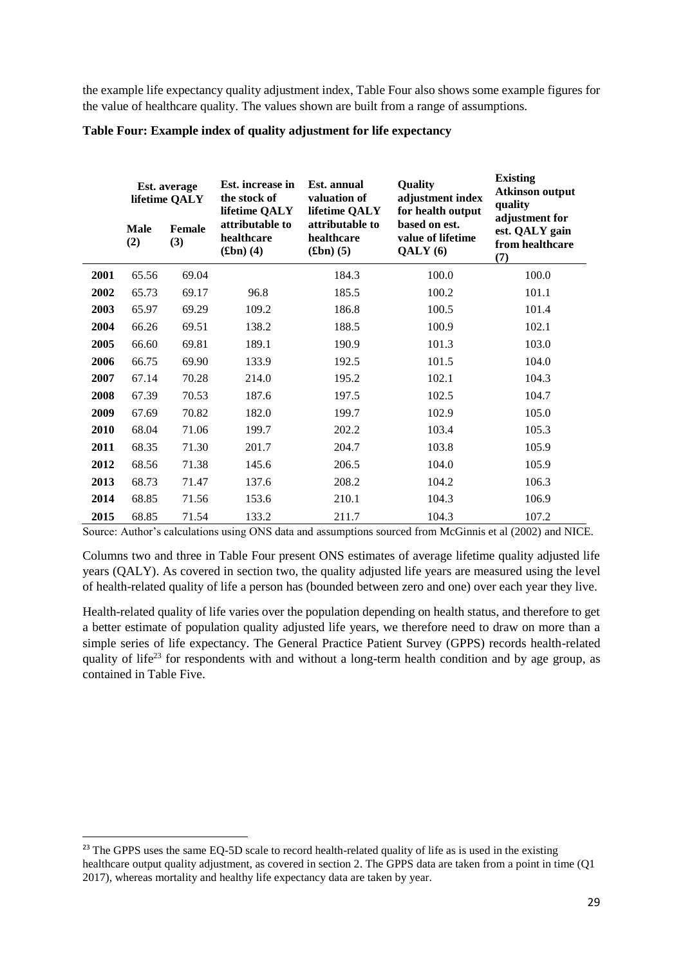the example life expectancy quality adjustment index, Table Four also shows some example figures for the value of healthcare quality. The values shown are built from a range of assumptions.

|      | Est. average<br>lifetime QALY |                      | Est. increase in<br>the stock of<br>lifetime QALY     | Est. annual<br>valuation of<br>lifetime QALY                  | Quality<br>adjustment index<br>for health output | <b>Existing</b><br><b>Atkinson output</b><br>quality       |  |
|------|-------------------------------|----------------------|-------------------------------------------------------|---------------------------------------------------------------|--------------------------------------------------|------------------------------------------------------------|--|
|      | <b>Male</b><br>(2)            | <b>Female</b><br>(3) | attributable to<br>healthcare<br>$(\text{fbn})$ $(4)$ | attributable to<br>healthcare<br>$(\pmb{\pmb{\text{f}}})$ (5) | based on est.<br>value of lifetime<br>QALY(6)    | adjustment for<br>est. QALY gain<br>from healthcare<br>(7) |  |
| 2001 | 65.56                         | 69.04                |                                                       | 184.3                                                         | 100.0                                            | 100.0                                                      |  |
| 2002 | 65.73                         | 69.17                | 96.8                                                  | 185.5                                                         | 100.2                                            | 101.1                                                      |  |
| 2003 | 65.97                         | 69.29                | 109.2                                                 | 186.8                                                         | 100.5                                            | 101.4                                                      |  |
| 2004 | 66.26                         | 69.51                | 138.2                                                 | 188.5                                                         | 100.9                                            | 102.1                                                      |  |
| 2005 | 66.60                         | 69.81                | 189.1                                                 | 190.9                                                         | 101.3                                            | 103.0                                                      |  |
| 2006 | 66.75                         | 69.90                | 133.9                                                 | 192.5                                                         | 101.5                                            | 104.0                                                      |  |
| 2007 | 67.14                         | 70.28                | 214.0                                                 | 195.2                                                         | 102.1                                            | 104.3                                                      |  |
| 2008 | 67.39                         | 70.53                | 187.6                                                 | 197.5                                                         | 102.5                                            | 104.7                                                      |  |
| 2009 | 67.69                         | 70.82                | 182.0                                                 | 199.7                                                         | 102.9                                            | 105.0                                                      |  |
| 2010 | 68.04                         | 71.06                | 199.7                                                 | 202.2                                                         | 103.4                                            | 105.3                                                      |  |
| 2011 | 68.35                         | 71.30                | 201.7                                                 | 204.7                                                         | 103.8                                            | 105.9                                                      |  |
| 2012 | 68.56                         | 71.38                | 145.6                                                 | 206.5                                                         | 104.0                                            | 105.9                                                      |  |
| 2013 | 68.73                         | 71.47                | 137.6                                                 | 208.2                                                         | 104.2                                            | 106.3                                                      |  |
| 2014 | 68.85                         | 71.56                | 153.6                                                 | 210.1                                                         | 104.3                                            | 106.9                                                      |  |
| 2015 | 68.85                         | 71.54                | 133.2                                                 | 211.7                                                         | 104.3                                            | 107.2                                                      |  |

#### **Table Four: Example index of quality adjustment for life expectancy**

Source: Author's calculations using ONS data and assumptions sourced from McGinnis et al (2002) and NICE.

Columns two and three in Table Four present ONS estimates of average lifetime quality adjusted life years (QALY). As covered in section two, the quality adjusted life years are measured using the level of health-related quality of life a person has (bounded between zero and one) over each year they live.

Health-related quality of life varies over the population depending on health status, and therefore to get a better estimate of population quality adjusted life years, we therefore need to draw on more than a simple series of life expectancy. The General Practice Patient Survey (GPPS) records health-related quality of life<sup>23</sup> for respondents with and without a long-term health condition and by age group, as contained in Table Five.

**.** 

<sup>&</sup>lt;sup>23</sup> The GPPS uses the same EQ-5D scale to record health-related quality of life as is used in the existing healthcare output quality adjustment, as covered in section 2. The GPPS data are taken from a point in time (Q1 2017), whereas mortality and healthy life expectancy data are taken by year.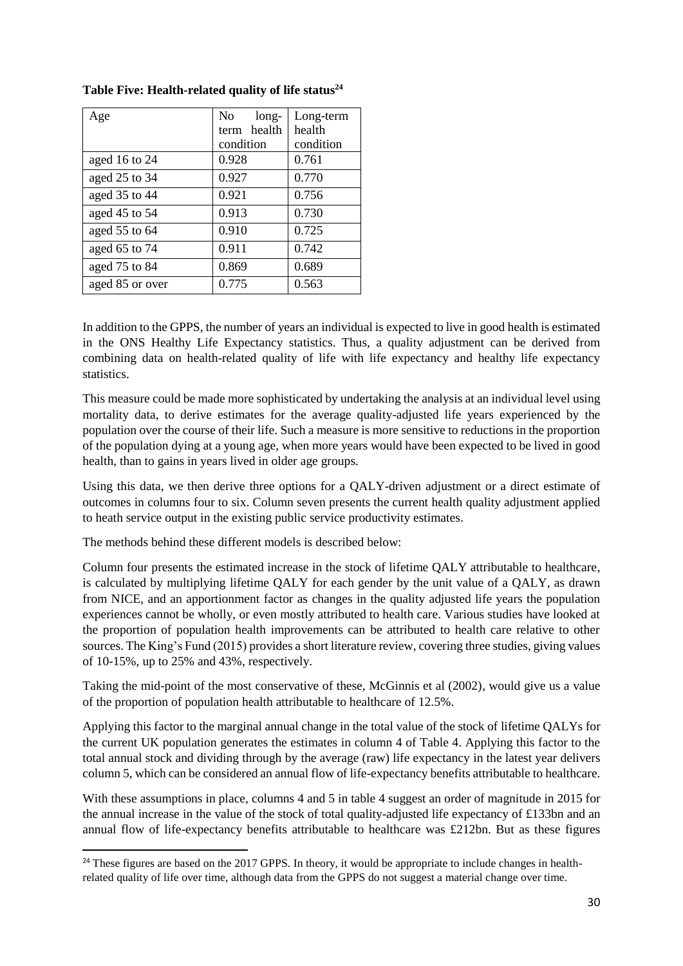| Age               | No.<br>long- | Long-term |
|-------------------|--------------|-----------|
|                   | term health  | health    |
|                   | condition    | condition |
| aged 16 to 24     | 0.928        | 0.761     |
| aged 25 to 34     | 0.927        | 0.770     |
| aged 35 to 44     | 0.921        | 0.756     |
| aged 45 to 54     | 0.913        | 0.730     |
| aged $55$ to $64$ | 0.910        | 0.725     |
| aged 65 to 74     | 0.911        | 0.742     |
| aged 75 to 84     | 0.869        | 0.689     |
| aged 85 or over   | 0.775        | 0.563     |

# **Table Five: Health-related quality of life status<sup>24</sup>**

In addition to the GPPS, the number of years an individual is expected to live in good health is estimated in the ONS Healthy Life Expectancy statistics. Thus, a quality adjustment can be derived from combining data on health-related quality of life with life expectancy and healthy life expectancy statistics.

This measure could be made more sophisticated by undertaking the analysis at an individual level using mortality data, to derive estimates for the average quality-adjusted life years experienced by the population over the course of their life. Such a measure is more sensitive to reductions in the proportion of the population dying at a young age, when more years would have been expected to be lived in good health, than to gains in years lived in older age groups.

Using this data, we then derive three options for a QALY-driven adjustment or a direct estimate of outcomes in columns four to six. Column seven presents the current health quality adjustment applied to heath service output in the existing public service productivity estimates.

The methods behind these different models is described below:

1

Column four presents the estimated increase in the stock of lifetime QALY attributable to healthcare, is calculated by multiplying lifetime QALY for each gender by the unit value of a QALY, as drawn from NICE, and an apportionment factor as changes in the quality adjusted life years the population experiences cannot be wholly, or even mostly attributed to health care. Various studies have looked at the proportion of population health improvements can be attributed to health care relative to other sources. The King's Fund (2015) provides a short literature review, covering three studies, giving values of 10-15%, up to 25% and 43%, respectively.

Taking the mid-point of the most conservative of these, McGinnis et al (2002), would give us a value of the proportion of population health attributable to healthcare of 12.5%.

Applying this factor to the marginal annual change in the total value of the stock of lifetime QALYs for the current UK population generates the estimates in column 4 of Table 4. Applying this factor to the total annual stock and dividing through by the average (raw) life expectancy in the latest year delivers column 5, which can be considered an annual flow of life-expectancy benefits attributable to healthcare.

With these assumptions in place, columns 4 and 5 in table 4 suggest an order of magnitude in 2015 for the annual increase in the value of the stock of total quality-adjusted life expectancy of £133bn and an annual flow of life-expectancy benefits attributable to healthcare was £212bn. But as these figures

 $24$  These figures are based on the 2017 GPPS. In theory, it would be appropriate to include changes in healthrelated quality of life over time, although data from the GPPS do not suggest a material change over time.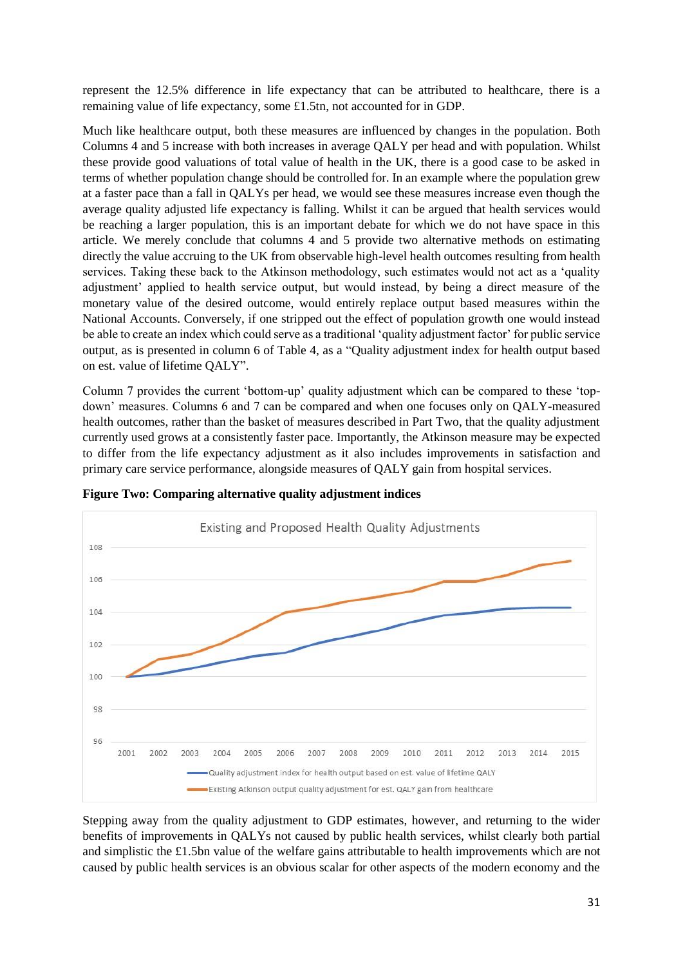represent the 12.5% difference in life expectancy that can be attributed to healthcare, there is a remaining value of life expectancy, some £1.5tn, not accounted for in GDP.

Much like healthcare output, both these measures are influenced by changes in the population. Both Columns 4 and 5 increase with both increases in average QALY per head and with population. Whilst these provide good valuations of total value of health in the UK, there is a good case to be asked in terms of whether population change should be controlled for. In an example where the population grew at a faster pace than a fall in QALYs per head, we would see these measures increase even though the average quality adjusted life expectancy is falling. Whilst it can be argued that health services would be reaching a larger population, this is an important debate for which we do not have space in this article. We merely conclude that columns 4 and 5 provide two alternative methods on estimating directly the value accruing to the UK from observable high-level health outcomes resulting from health services. Taking these back to the Atkinson methodology, such estimates would not act as a 'quality adjustment' applied to health service output, but would instead, by being a direct measure of the monetary value of the desired outcome, would entirely replace output based measures within the National Accounts. Conversely, if one stripped out the effect of population growth one would instead be able to create an index which could serve as a traditional 'quality adjustment factor' for public service output, as is presented in column 6 of Table 4, as a "Quality adjustment index for health output based on est. value of lifetime QALY".

Column 7 provides the current 'bottom-up' quality adjustment which can be compared to these 'topdown' measures. Columns 6 and 7 can be compared and when one focuses only on QALY-measured health outcomes, rather than the basket of measures described in Part Two, that the quality adjustment currently used grows at a consistently faster pace. Importantly, the Atkinson measure may be expected to differ from the life expectancy adjustment as it also includes improvements in satisfaction and primary care service performance, alongside measures of QALY gain from hospital services.



**Figure Two: Comparing alternative quality adjustment indices**

Stepping away from the quality adjustment to GDP estimates, however, and returning to the wider benefits of improvements in QALYs not caused by public health services, whilst clearly both partial and simplistic the £1.5bn value of the welfare gains attributable to health improvements which are not caused by public health services is an obvious scalar for other aspects of the modern economy and the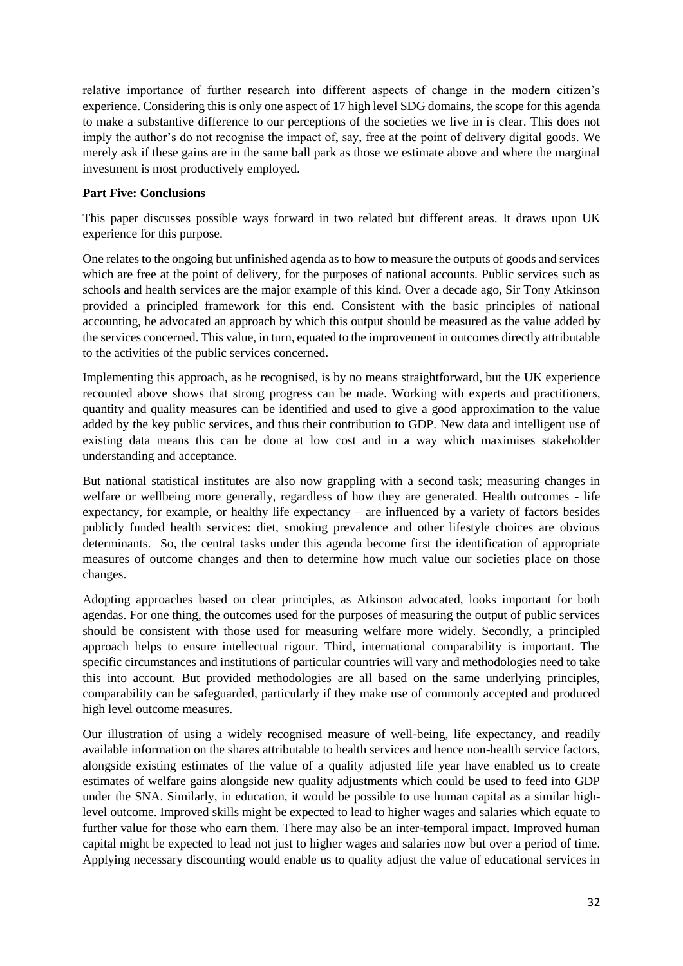relative importance of further research into different aspects of change in the modern citizen's experience. Considering this is only one aspect of 17 high level SDG domains, the scope for this agenda to make a substantive difference to our perceptions of the societies we live in is clear. This does not imply the author's do not recognise the impact of, say, free at the point of delivery digital goods. We merely ask if these gains are in the same ball park as those we estimate above and where the marginal investment is most productively employed.

# **Part Five: Conclusions**

This paper discusses possible ways forward in two related but different areas. It draws upon UK experience for this purpose.

One relates to the ongoing but unfinished agenda as to how to measure the outputs of goods and services which are free at the point of delivery, for the purposes of national accounts. Public services such as schools and health services are the major example of this kind. Over a decade ago, Sir Tony Atkinson provided a principled framework for this end. Consistent with the basic principles of national accounting, he advocated an approach by which this output should be measured as the value added by the services concerned. This value, in turn, equated to the improvement in outcomes directly attributable to the activities of the public services concerned.

Implementing this approach, as he recognised, is by no means straightforward, but the UK experience recounted above shows that strong progress can be made. Working with experts and practitioners, quantity and quality measures can be identified and used to give a good approximation to the value added by the key public services, and thus their contribution to GDP. New data and intelligent use of existing data means this can be done at low cost and in a way which maximises stakeholder understanding and acceptance.

But national statistical institutes are also now grappling with a second task; measuring changes in welfare or wellbeing more generally, regardless of how they are generated. Health outcomes - life expectancy, for example, or healthy life expectancy – are influenced by a variety of factors besides publicly funded health services: diet, smoking prevalence and other lifestyle choices are obvious determinants. So, the central tasks under this agenda become first the identification of appropriate measures of outcome changes and then to determine how much value our societies place on those changes.

Adopting approaches based on clear principles, as Atkinson advocated, looks important for both agendas. For one thing, the outcomes used for the purposes of measuring the output of public services should be consistent with those used for measuring welfare more widely. Secondly, a principled approach helps to ensure intellectual rigour. Third, international comparability is important. The specific circumstances and institutions of particular countries will vary and methodologies need to take this into account. But provided methodologies are all based on the same underlying principles, comparability can be safeguarded, particularly if they make use of commonly accepted and produced high level outcome measures.

Our illustration of using a widely recognised measure of well-being, life expectancy, and readily available information on the shares attributable to health services and hence non-health service factors, alongside existing estimates of the value of a quality adjusted life year have enabled us to create estimates of welfare gains alongside new quality adjustments which could be used to feed into GDP under the SNA. Similarly, in education, it would be possible to use human capital as a similar highlevel outcome. Improved skills might be expected to lead to higher wages and salaries which equate to further value for those who earn them. There may also be an inter-temporal impact. Improved human capital might be expected to lead not just to higher wages and salaries now but over a period of time. Applying necessary discounting would enable us to quality adjust the value of educational services in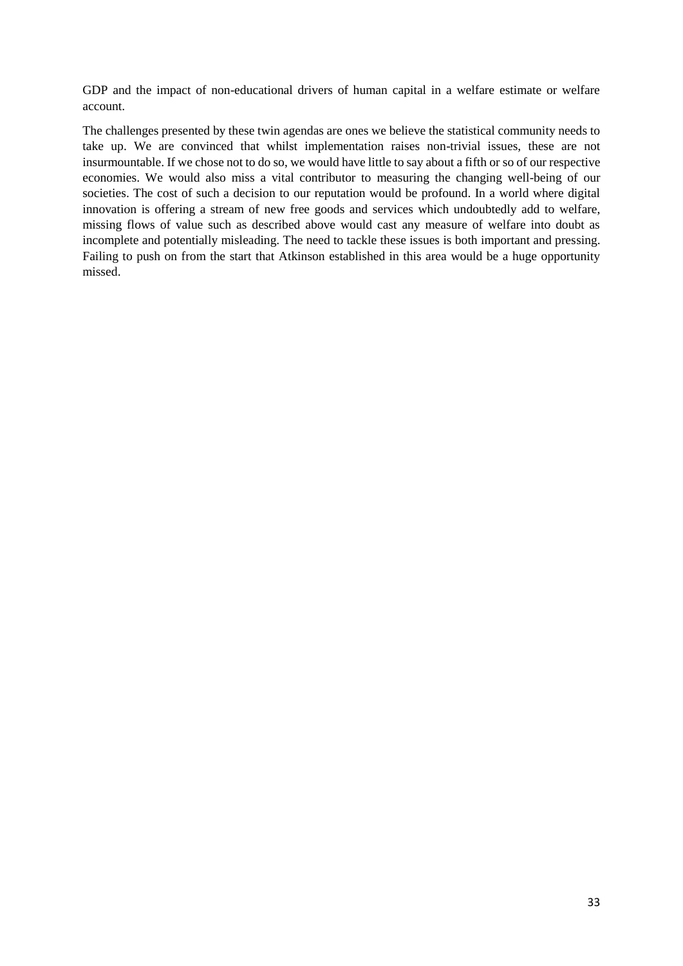GDP and the impact of non-educational drivers of human capital in a welfare estimate or welfare account.

The challenges presented by these twin agendas are ones we believe the statistical community needs to take up. We are convinced that whilst implementation raises non-trivial issues, these are not insurmountable. If we chose not to do so, we would have little to say about a fifth or so of our respective economies. We would also miss a vital contributor to measuring the changing well-being of our societies. The cost of such a decision to our reputation would be profound. In a world where digital innovation is offering a stream of new free goods and services which undoubtedly add to welfare, missing flows of value such as described above would cast any measure of welfare into doubt as incomplete and potentially misleading. The need to tackle these issues is both important and pressing. Failing to push on from the start that Atkinson established in this area would be a huge opportunity missed.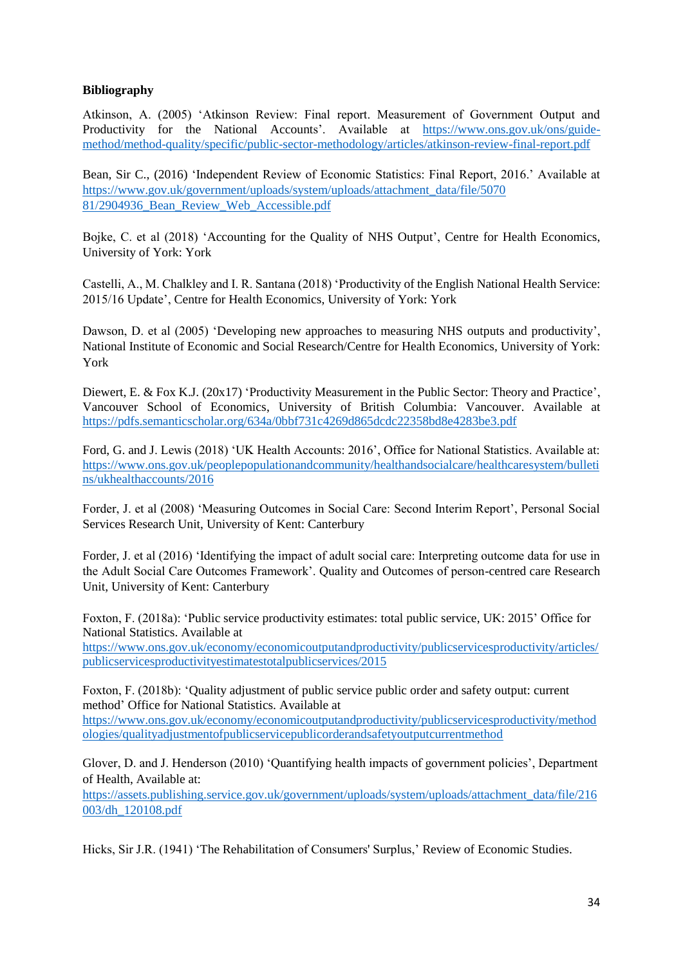# **Bibliography**

Atkinson, A. (2005) 'Atkinson Review: Final report. Measurement of Government Output and Productivity for the National Accounts'. Available at [https://www.ons.gov.uk/ons/guide](https://www.ons.gov.uk/ons/guide-method/method-quality/specific/public-sector-methodology/articles/atkinson-review-final-report.pdf)[method/method-quality/specific/public-sector-methodology/articles/atkinson-review-final-report.pdf](https://www.ons.gov.uk/ons/guide-method/method-quality/specific/public-sector-methodology/articles/atkinson-review-final-report.pdf)

Bean, Sir C., (2016) 'Independent Review of Economic Statistics: Final Report, 2016.' Available at [https://www.gov.uk/government/uploads/system/uploads/attachment\\_data/file/5070](https://www.gov.uk/government/uploads/system/uploads/attachment_data/file/5070%2081/2904936_Bean_Review_Web_Accessible.pdf)  81/2904936 Bean Review Web Accessible.pdf

Bojke, C. et al (2018) 'Accounting for the Quality of NHS Output', Centre for Health Economics, University of York: York

Castelli, A., M. Chalkley and I. R. Santana (2018) 'Productivity of the English National Health Service: 2015/16 Update', Centre for Health Economics, University of York: York

Dawson, D. et al (2005) 'Developing new approaches to measuring NHS outputs and productivity', National Institute of Economic and Social Research/Centre for Health Economics, University of York: York

Diewert, E. & Fox K.J. (20x17) 'Productivity Measurement in the Public Sector: Theory and Practice', Vancouver School of Economics, University of British Columbia: Vancouver. Available at <https://pdfs.semanticscholar.org/634a/0bbf731c4269d865dcdc22358bd8e4283be3.pdf>

Ford, G. and J. Lewis (2018) 'UK Health Accounts: 2016', Office for National Statistics. Available at: [https://www.ons.gov.uk/peoplepopulationandcommunity/healthandsocialcare/healthcaresystem/bulleti](https://www.ons.gov.uk/peoplepopulationandcommunity/healthandsocialcare/healthcaresystem/bulletins/ukhealthaccounts/2016) [ns/ukhealthaccounts/2016](https://www.ons.gov.uk/peoplepopulationandcommunity/healthandsocialcare/healthcaresystem/bulletins/ukhealthaccounts/2016)

Forder, J. et al (2008) 'Measuring Outcomes in Social Care: Second Interim Report', Personal Social Services Research Unit, University of Kent: Canterbury

Forder, J. et al (2016) 'Identifying the impact of adult social care: Interpreting outcome data for use in the Adult Social Care Outcomes Framework'. Quality and Outcomes of person-centred care Research Unit, University of Kent: Canterbury

Foxton, F. (2018a): 'Public service productivity estimates: total public service, UK: 2015' Office for National Statistics. Available at

[https://www.ons.gov.uk/economy/economicoutputandproductivity/publicservicesproductivity/articles/](https://www.ons.gov.uk/economy/economicoutputandproductivity/publicservicesproductivity/articles/publicservicesproductivityestimatestotalpublicservices/2015) [publicservicesproductivityestimatestotalpublicservices/2015](https://www.ons.gov.uk/economy/economicoutputandproductivity/publicservicesproductivity/articles/publicservicesproductivityestimatestotalpublicservices/2015)

Foxton, F. (2018b): 'Quality adjustment of public service public order and safety output: current method' Office for National Statistics. Available at [https://www.ons.gov.uk/economy/economicoutputandproductivity/publicservicesproductivity/method](https://www.ons.gov.uk/economy/economicoutputandproductivity/publicservicesproductivity/methodologies/qualityadjustmentofpublicservicepublicorderandsafetyoutputcurrentmethod) [ologies/qualityadjustmentofpublicservicepublicorderandsafetyoutputcurrentmethod](https://www.ons.gov.uk/economy/economicoutputandproductivity/publicservicesproductivity/methodologies/qualityadjustmentofpublicservicepublicorderandsafetyoutputcurrentmethod)

Glover, D. and J. Henderson (2010) 'Quantifying health impacts of government policies', Department of Health, Available at:

[https://assets.publishing.service.gov.uk/government/uploads/system/uploads/attachment\\_data/file/216](https://assets.publishing.service.gov.uk/government/uploads/system/uploads/attachment_data/file/216003/dh_120108.pdf) [003/dh\\_120108.pdf](https://assets.publishing.service.gov.uk/government/uploads/system/uploads/attachment_data/file/216003/dh_120108.pdf)

Hicks, Sir J.R. (1941) 'The Rehabilitation of Consumers' Surplus,' Review of Economic Studies.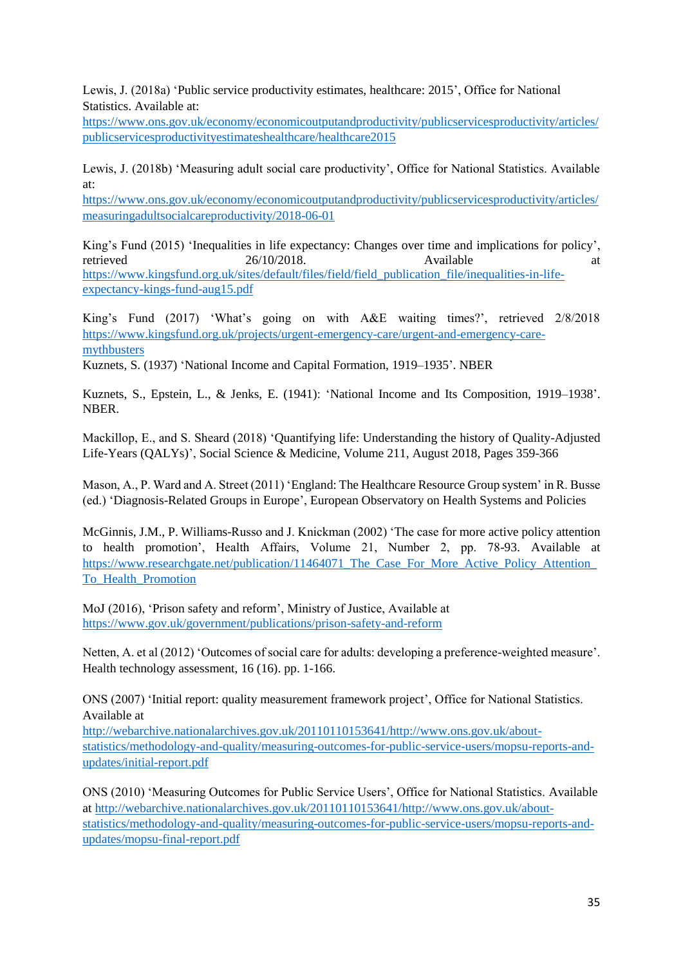Lewis, J. (2018a) 'Public service productivity estimates, healthcare: 2015', Office for National Statistics. Available at:

[https://www.ons.gov.uk/economy/economicoutputandproductivity/publicservicesproductivity/articles/](https://www.ons.gov.uk/economy/economicoutputandproductivity/publicservicesproductivity/articles/publicservicesproductivityestimateshealthcare/healthcare2015) [publicservicesproductivityestimateshealthcare/healthcare2015](https://www.ons.gov.uk/economy/economicoutputandproductivity/publicservicesproductivity/articles/publicservicesproductivityestimateshealthcare/healthcare2015)

Lewis, J. (2018b) 'Measuring adult social care productivity', Office for National Statistics. Available at:

[https://www.ons.gov.uk/economy/economicoutputandproductivity/publicservicesproductivity/articles/](https://www.ons.gov.uk/economy/economicoutputandproductivity/publicservicesproductivity/articles/measuringadultsocialcareproductivity/2018-06-01) [measuringadultsocialcareproductivity/2018-06-01](https://www.ons.gov.uk/economy/economicoutputandproductivity/publicservicesproductivity/articles/measuringadultsocialcareproductivity/2018-06-01)

King's Fund (2015) 'Inequalities in life expectancy: Changes over time and implications for policy', retrieved 26/10/2018. Available at [https://www.kingsfund.org.uk/sites/default/files/field/field\\_publication\\_file/inequalities-in-life](https://www.kingsfund.org.uk/sites/default/files/field/field_publication_file/inequalities-in-life-expectancy-kings-fund-aug15.pdf)[expectancy-kings-fund-aug15.pdf](https://www.kingsfund.org.uk/sites/default/files/field/field_publication_file/inequalities-in-life-expectancy-kings-fund-aug15.pdf)

King's Fund (2017) 'What's going on with A&E waiting times?', retrieved 2/8/2018 [https://www.kingsfund.org.uk/projects/urgent-emergency-care/urgent-and-emergency-care](https://www.kingsfund.org.uk/projects/urgent-emergency-care/urgent-and-emergency-care-mythbusters)[mythbusters](https://www.kingsfund.org.uk/projects/urgent-emergency-care/urgent-and-emergency-care-mythbusters)

Kuznets, S. (1937) 'National Income and Capital Formation, 1919–1935'. NBER

Kuznets, S., Epstein, L., & Jenks, E. (1941): 'National Income and Its Composition, 1919–1938'. NBER.

Mackillop, E., and S. Sheard (2018) 'Quantifying life: Understanding the history of Quality-Adjusted Life-Years (QALYs)', Social Science & Medicine, Volume 211, August 2018, Pages 359-366

Mason, A., P. Ward and A. Street (2011) 'England: The Healthcare Resource Group system' in R. Busse (ed.) 'Diagnosis-Related Groups in Europe', European Observatory on Health Systems and Policies

McGinnis, J.M., P. Williams-Russo and J. Knickman (2002) 'The case for more active policy attention to health promotion', Health Affairs, Volume 21, Number 2, pp. 78-93. Available at https://www.researchgate.net/publication/11464071 The Case For More Active Policy Attention [To\\_Health\\_Promotion](https://www.researchgate.net/publication/11464071_The_Case_For_More_Active_Policy_Attention_To_Health_Promotion)

MoJ (2016), 'Prison safety and reform', Ministry of Justice, Available at <https://www.gov.uk/government/publications/prison-safety-and-reform>

Netten, A. et al (2012) 'Outcomes of social care for adults: developing a preference-weighted measure'. Health technology assessment, 16 (16). pp. 1-166.

ONS (2007) 'Initial report: quality measurement framework project', Office for National Statistics. Available at

[http://webarchive.nationalarchives.gov.uk/20110110153641/http://www.ons.gov.uk/about](http://webarchive.nationalarchives.gov.uk/20110110153641/http:/www.ons.gov.uk/about-statistics/methodology-and-quality/measuring-outcomes-for-public-service-users/mopsu-reports-and-updates/initial-report.pdf)[statistics/methodology-and-quality/measuring-outcomes-for-public-service-users/mopsu-reports-and](http://webarchive.nationalarchives.gov.uk/20110110153641/http:/www.ons.gov.uk/about-statistics/methodology-and-quality/measuring-outcomes-for-public-service-users/mopsu-reports-and-updates/initial-report.pdf)[updates/initial-report.pdf](http://webarchive.nationalarchives.gov.uk/20110110153641/http:/www.ons.gov.uk/about-statistics/methodology-and-quality/measuring-outcomes-for-public-service-users/mopsu-reports-and-updates/initial-report.pdf)

ONS (2010) 'Measuring Outcomes for Public Service Users', Office for National Statistics. Available at [http://webarchive.nationalarchives.gov.uk/20110110153641/http://www.ons.gov.uk/about](http://webarchive.nationalarchives.gov.uk/20110110153641/http:/www.ons.gov.uk/about-statistics/methodology-and-quality/measuring-outcomes-for-public-service-users/mopsu-reports-and-updates/mopsu-final-report.pdf)[statistics/methodology-and-quality/measuring-outcomes-for-public-service-users/mopsu-reports-and](http://webarchive.nationalarchives.gov.uk/20110110153641/http:/www.ons.gov.uk/about-statistics/methodology-and-quality/measuring-outcomes-for-public-service-users/mopsu-reports-and-updates/mopsu-final-report.pdf)[updates/mopsu-final-report.pdf](http://webarchive.nationalarchives.gov.uk/20110110153641/http:/www.ons.gov.uk/about-statistics/methodology-and-quality/measuring-outcomes-for-public-service-users/mopsu-reports-and-updates/mopsu-final-report.pdf)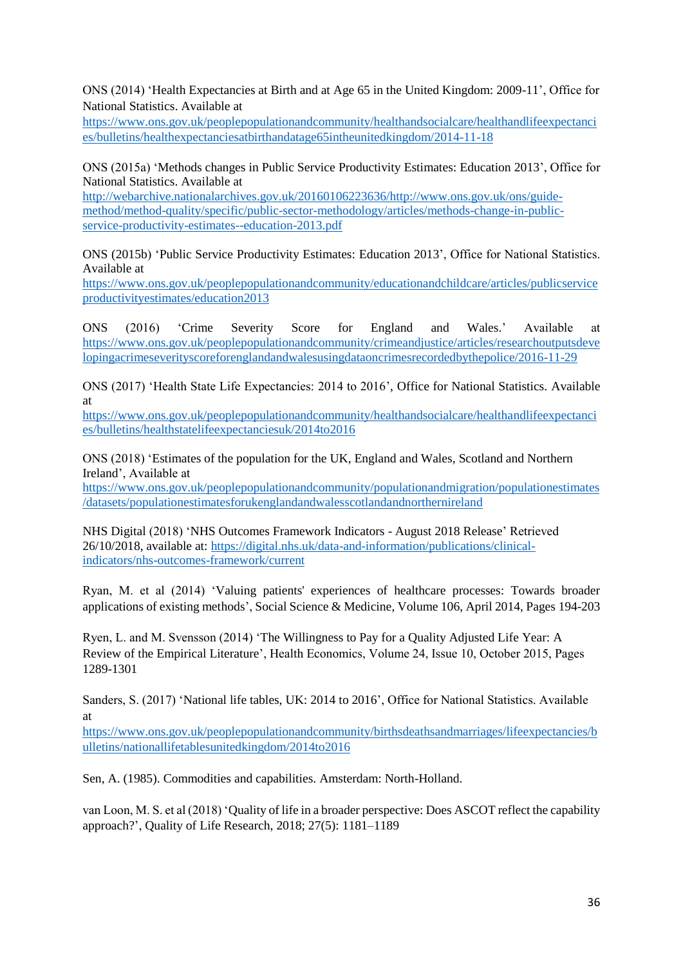ONS (2014) 'Health Expectancies at Birth and at Age 65 in the United Kingdom: 2009-11', Office for National Statistics. Available at

[https://www.ons.gov.uk/peoplepopulationandcommunity/healthandsocialcare/healthandlifeexpectanci](https://www.ons.gov.uk/peoplepopulationandcommunity/healthandsocialcare/healthandlifeexpectancies/bulletins/healthexpectanciesatbirthandatage65intheunitedkingdom/2014-11-18) [es/bulletins/healthexpectanciesatbirthandatage65intheunitedkingdom/2014-11-18](https://www.ons.gov.uk/peoplepopulationandcommunity/healthandsocialcare/healthandlifeexpectancies/bulletins/healthexpectanciesatbirthandatage65intheunitedkingdom/2014-11-18)

ONS (2015a) 'Methods changes in Public Service Productivity Estimates: Education 2013', Office for National Statistics. Available at

[http://webarchive.nationalarchives.gov.uk/20160106223636/http://www.ons.gov.uk/ons/guide](http://webarchive.nationalarchives.gov.uk/20160106223636/http:/www.ons.gov.uk/ons/guide-method/method-quality/specific/public-sector-methodology/articles/methods-change-in-public-service-productivity-estimates--education-2013.pdf)[method/method-quality/specific/public-sector-methodology/articles/methods-change-in-public](http://webarchive.nationalarchives.gov.uk/20160106223636/http:/www.ons.gov.uk/ons/guide-method/method-quality/specific/public-sector-methodology/articles/methods-change-in-public-service-productivity-estimates--education-2013.pdf)[service-productivity-estimates--education-2013.pdf](http://webarchive.nationalarchives.gov.uk/20160106223636/http:/www.ons.gov.uk/ons/guide-method/method-quality/specific/public-sector-methodology/articles/methods-change-in-public-service-productivity-estimates--education-2013.pdf)

ONS (2015b) 'Public Service Productivity Estimates: Education 2013', Office for National Statistics. Available at

[https://www.ons.gov.uk/peoplepopulationandcommunity/educationandchildcare/articles/publicservice](https://www.ons.gov.uk/peoplepopulationandcommunity/educationandchildcare/articles/publicserviceproductivityestimates/education2013) [productivityestimates/education2013](https://www.ons.gov.uk/peoplepopulationandcommunity/educationandchildcare/articles/publicserviceproductivityestimates/education2013)

ONS (2016) 'Crime Severity Score for England and Wales.' Available at [https://www.ons.gov.uk/peoplepopulationandcommunity/crimeandjustice/articles/researchoutputsdeve](https://www.ons.gov.uk/peoplepopulationandcommunity/crimeandjustice/articles/researchoutputsdevelopingacrimeseverityscoreforenglandandwalesusingdataoncrimesrecordedbythepolice/2016-11-29) [lopingacrimeseverityscoreforenglandandwalesusingdataoncrimesrecordedbythepolice/2016-11-29](https://www.ons.gov.uk/peoplepopulationandcommunity/crimeandjustice/articles/researchoutputsdevelopingacrimeseverityscoreforenglandandwalesusingdataoncrimesrecordedbythepolice/2016-11-29)

ONS (2017) 'Health State Life Expectancies: 2014 to 2016', Office for National Statistics. Available at

[https://www.ons.gov.uk/peoplepopulationandcommunity/healthandsocialcare/healthandlifeexpectanci](https://www.ons.gov.uk/peoplepopulationandcommunity/healthandsocialcare/healthandlifeexpectancies/bulletins/healthstatelifeexpectanciesuk/2014to2016) [es/bulletins/healthstatelifeexpectanciesuk/2014to2016](https://www.ons.gov.uk/peoplepopulationandcommunity/healthandsocialcare/healthandlifeexpectancies/bulletins/healthstatelifeexpectanciesuk/2014to2016)

ONS (2018) 'Estimates of the population for the UK, England and Wales, Scotland and Northern Ireland', Available at

[https://www.ons.gov.uk/peoplepopulationandcommunity/populationandmigration/populationestimates](https://www.ons.gov.uk/peoplepopulationandcommunity/populationandmigration/populationestimates/datasets/populationestimatesforukenglandandwalesscotlandandnorthernireland) [/datasets/populationestimatesforukenglandandwalesscotlandandnorthernireland](https://www.ons.gov.uk/peoplepopulationandcommunity/populationandmigration/populationestimates/datasets/populationestimatesforukenglandandwalesscotlandandnorthernireland)

NHS Digital (2018) 'NHS Outcomes Framework Indicators - August 2018 Release' Retrieved 26/10/2018, available at: [https://digital.nhs.uk/data-and-information/publications/clinical](https://digital.nhs.uk/data-and-information/publications/clinical-indicators/nhs-outcomes-framework/current)[indicators/nhs-outcomes-framework/current](https://digital.nhs.uk/data-and-information/publications/clinical-indicators/nhs-outcomes-framework/current)

Ryan, M. et al (2014) 'Valuing patients' experiences of healthcare processes: Towards broader applications of existing methods', Social Science & Medicine, Volume 106, April 2014, Pages 194-203

Ryen, L. and M. Svensson (2014) 'The Willingness to Pay for a Quality Adjusted Life Year: A Review of the Empirical Literature', Health Economics, Volume 24, Issue 10, October 2015, Pages 1289-1301

Sanders, S. (2017) 'National life tables, UK: 2014 to 2016', Office for National Statistics. Available at

[https://www.ons.gov.uk/peoplepopulationandcommunity/birthsdeathsandmarriages/lifeexpectancies/b](https://www.ons.gov.uk/peoplepopulationandcommunity/birthsdeathsandmarriages/lifeexpectancies/bulletins/nationallifetablesunitedkingdom/2014to2016) [ulletins/nationallifetablesunitedkingdom/2014to2016](https://www.ons.gov.uk/peoplepopulationandcommunity/birthsdeathsandmarriages/lifeexpectancies/bulletins/nationallifetablesunitedkingdom/2014to2016)

Sen, A. (1985). Commodities and capabilities. Amsterdam: North-Holland.

van Loon, M. S. et al (2018) 'Quality of life in a broader perspective: Does ASCOT reflect the capability approach?', Quality of Life Research, 2018; 27(5): 1181–1189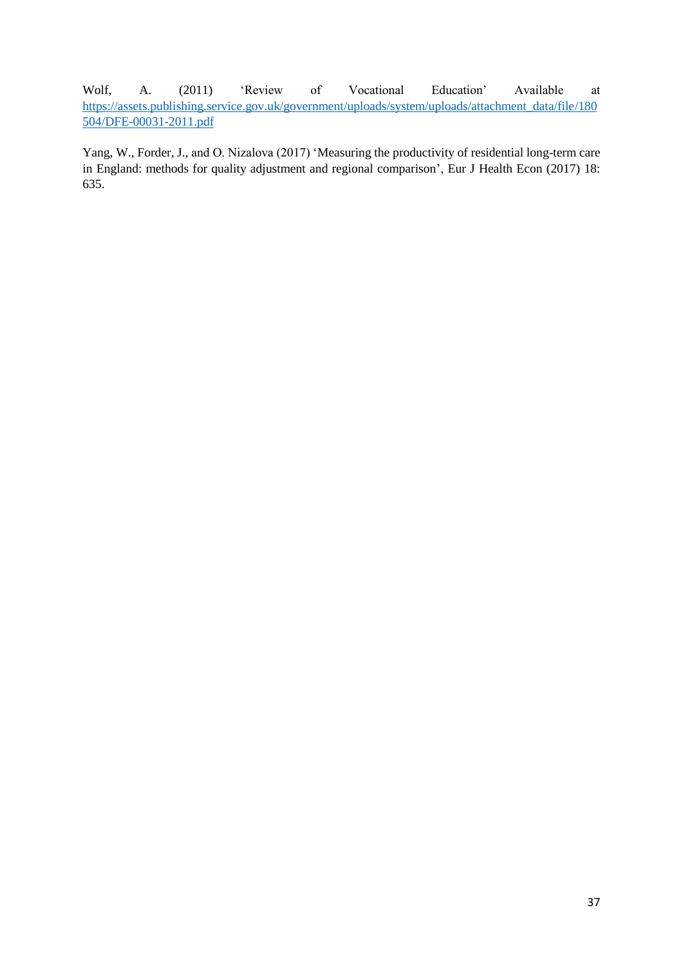Wolf, A. (2011) 'Review of Vocational Education' Available at [https://assets.publishing.service.gov.uk/government/uploads/system/uploads/attachment\\_data/file/180](https://assets.publishing.service.gov.uk/government/uploads/system/uploads/attachment_data/file/180504/DFE-00031-2011.pdf) [504/DFE-00031-2011.pdf](https://assets.publishing.service.gov.uk/government/uploads/system/uploads/attachment_data/file/180504/DFE-00031-2011.pdf)

Yang, W., Forder, J., and O. Nizalova (2017) 'Measuring the productivity of residential long-term care in England: methods for quality adjustment and regional comparison', Eur J Health Econ (2017) 18: 635.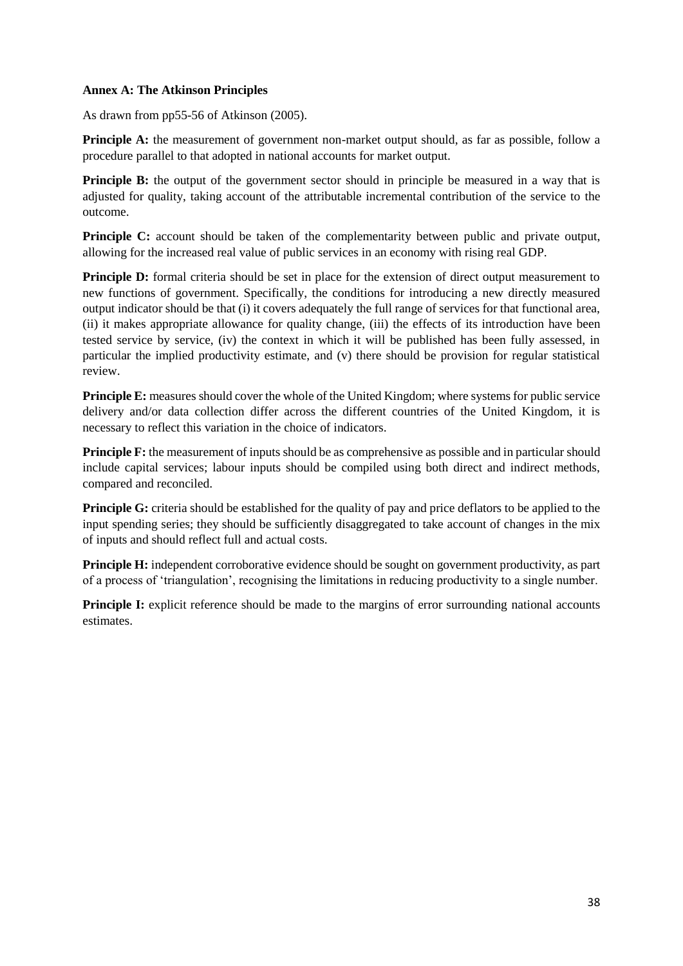#### **Annex A: The Atkinson Principles**

As drawn from pp55-56 of Atkinson (2005).

**Principle A:** the measurement of government non-market output should, as far as possible, follow a procedure parallel to that adopted in national accounts for market output.

**Principle B:** the output of the government sector should in principle be measured in a way that is adjusted for quality, taking account of the attributable incremental contribution of the service to the outcome.

**Principle C:** account should be taken of the complementarity between public and private output, allowing for the increased real value of public services in an economy with rising real GDP.

**Principle D:** formal criteria should be set in place for the extension of direct output measurement to new functions of government. Specifically, the conditions for introducing a new directly measured output indicator should be that (i) it covers adequately the full range of services for that functional area, (ii) it makes appropriate allowance for quality change, (iii) the effects of its introduction have been tested service by service, (iv) the context in which it will be published has been fully assessed, in particular the implied productivity estimate, and (v) there should be provision for regular statistical review.

**Principle E:** measures should cover the whole of the United Kingdom; where systems for public service delivery and/or data collection differ across the different countries of the United Kingdom, it is necessary to reflect this variation in the choice of indicators.

**Principle F:** the measurement of inputs should be as comprehensive as possible and in particular should include capital services; labour inputs should be compiled using both direct and indirect methods, compared and reconciled.

**Principle G:** criteria should be established for the quality of pay and price deflators to be applied to the input spending series; they should be sufficiently disaggregated to take account of changes in the mix of inputs and should reflect full and actual costs.

**Principle H:** independent corroborative evidence should be sought on government productivity, as part of a process of 'triangulation', recognising the limitations in reducing productivity to a single number.

**Principle I:** explicit reference should be made to the margins of error surrounding national accounts estimates.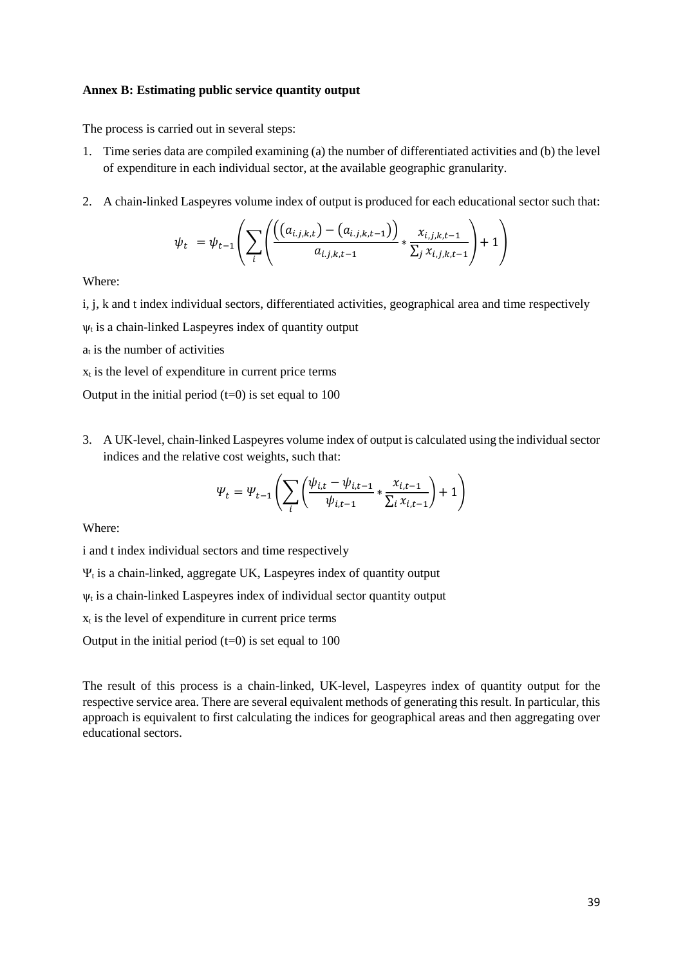#### **Annex B: Estimating public service quantity output**

The process is carried out in several steps:

- 1. Time series data are compiled examining (a) the number of differentiated activities and (b) the level of expenditure in each individual sector, at the available geographic granularity.
- 2. A chain-linked Laspeyres volume index of output is produced for each educational sector such that:

$$
\psi_t = \psi_{t-1} \left( \sum_i \left( \frac{\left( (a_{i,j,k,t}) - (a_{i,j,k,t-1}) \right)}{a_{i,j,k,t-1}} * \frac{x_{i,j,k,t-1}}{\sum_j x_{i,j,k,t-1}} \right) + 1 \right)
$$

Where:

i, j, k and t index individual sectors, differentiated activities, geographical area and time respectively

 $\psi_t$  is a chain-linked Laspeyres index of quantity output

 $a_t$  is the number of activities

 $x_t$  is the level of expenditure in current price terms

Output in the initial period  $(t=0)$  is set equal to 100

3. A UK-level, chain-linked Laspeyres volume index of output is calculated using the individual sector indices and the relative cost weights, such that:

$$
\Psi_{t} = \Psi_{t-1} \left( \sum_{i} \left( \frac{\psi_{i,t} - \psi_{i,t-1}}{\psi_{i,t-1}} * \frac{x_{i,t-1}}{\sum_{i} x_{i,t-1}} \right) + 1 \right)
$$

Where:

i and t index individual sectors and time respectively

 $\Psi_t$  is a chain-linked, aggregate UK, Laspeyres index of quantity output

 $\psi_t$  is a chain-linked Laspeyres index of individual sector quantity output

 $x_t$  is the level of expenditure in current price terms

Output in the initial period  $(t=0)$  is set equal to 100

The result of this process is a chain-linked, UK-level, Laspeyres index of quantity output for the respective service area. There are several equivalent methods of generating this result. In particular, this approach is equivalent to first calculating the indices for geographical areas and then aggregating over educational sectors.